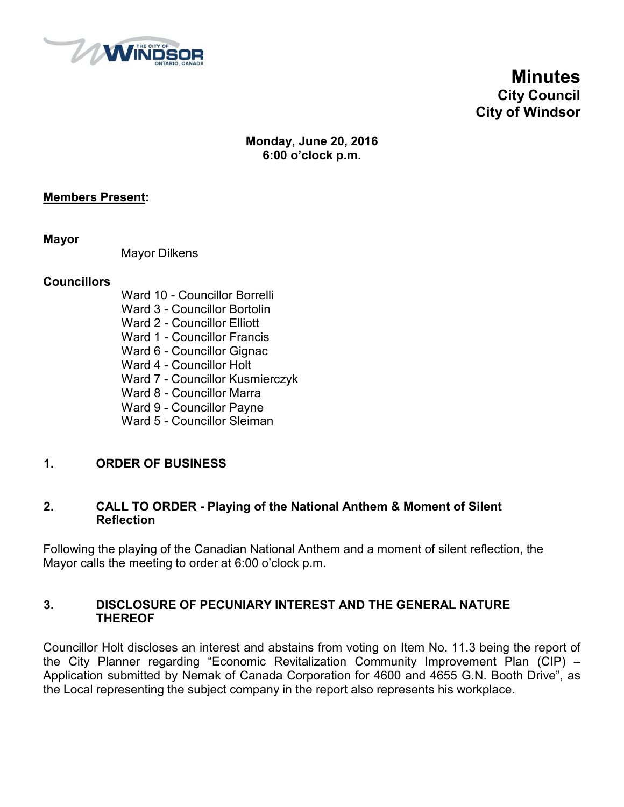

**Minutes City Council City of Windsor**

# **Monday, June 20, 2016 6:00 o'clock p.m.**

## **Members Present:**

**Mayor**

Mayor Dilkens

#### **Councillors**

- Ward 10 Councillor Borrelli
- Ward 3 Councillor Bortolin
- Ward 2 Councillor Elliott
- Ward 1 Councillor Francis
- Ward 6 Councillor Gignac
- Ward 4 Councillor Holt
- Ward 7 Councillor Kusmierczyk
- Ward 8 Councillor Marra
- Ward 9 Councillor Payne
- Ward 5 Councillor Sleiman

# **1. ORDER OF BUSINESS**

## **2. CALL TO ORDER - Playing of the National Anthem & Moment of Silent Reflection**

Following the playing of the Canadian National Anthem and a moment of silent reflection, the Mayor calls the meeting to order at 6:00 o'clock p.m.

## **3. DISCLOSURE OF PECUNIARY INTEREST AND THE GENERAL NATURE THEREOF**

Councillor Holt discloses an interest and abstains from voting on Item No. 11.3 being the report of the City Planner regarding "Economic Revitalization Community Improvement Plan (CIP) – Application submitted by Nemak of Canada Corporation for 4600 and 4655 G.N. Booth Drive", as the Local representing the subject company in the report also represents his workplace.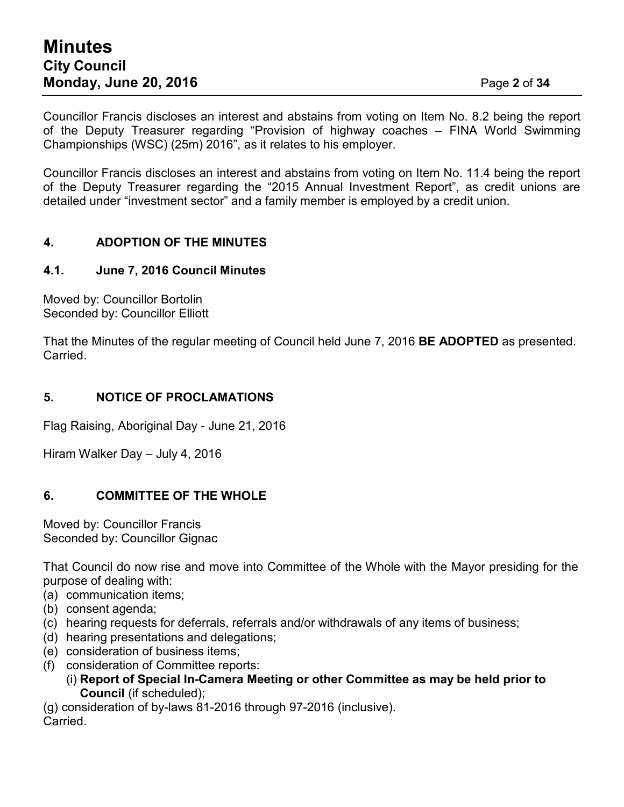Councillor Francis discloses an interest and abstains from voting on Item No. 8.2 being the report of the Deputy Treasurer regarding "Provision of highway coaches – FINA World Swimming Championships (WSC) (25m) 2016", as it relates to his employer.

Councillor Francis discloses an interest and abstains from voting on Item No. 11.4 being the report of the Deputy Treasurer regarding the "2015 Annual Investment Report", as credit unions are detailed under "investment sector" and a family member is employed by a credit union.

# **4. ADOPTION OF THE MINUTES**

#### **4.1. June 7, 2016 Council Minutes**

Moved by: Councillor Bortolin Seconded by: Councillor Elliott

That the Minutes of the regular meeting of Council held June 7, 2016 **BE ADOPTED** as presented. Carried.

## **5. NOTICE OF PROCLAMATIONS**

Flag Raising, Aboriginal Day - June 21, 2016

Hiram Walker Day – July 4, 2016

# **6. COMMITTEE OF THE WHOLE**

Moved by: Councillor Francis Seconded by: Councillor Gignac

That Council do now rise and move into Committee of the Whole with the Mayor presiding for the purpose of dealing with:

- (a) communication items;
- (b) consent agenda;
- (c) hearing requests for deferrals, referrals and/or withdrawals of any items of business;
- (d) hearing presentations and delegations;
- (e) consideration of business items;
- (f) consideration of Committee reports:
	- (i) **Report of Special In-Camera Meeting or other Committee as may be held prior to Council** (if scheduled);

(g) consideration of by-laws 81-2016 through 97-2016 (inclusive). **Carried**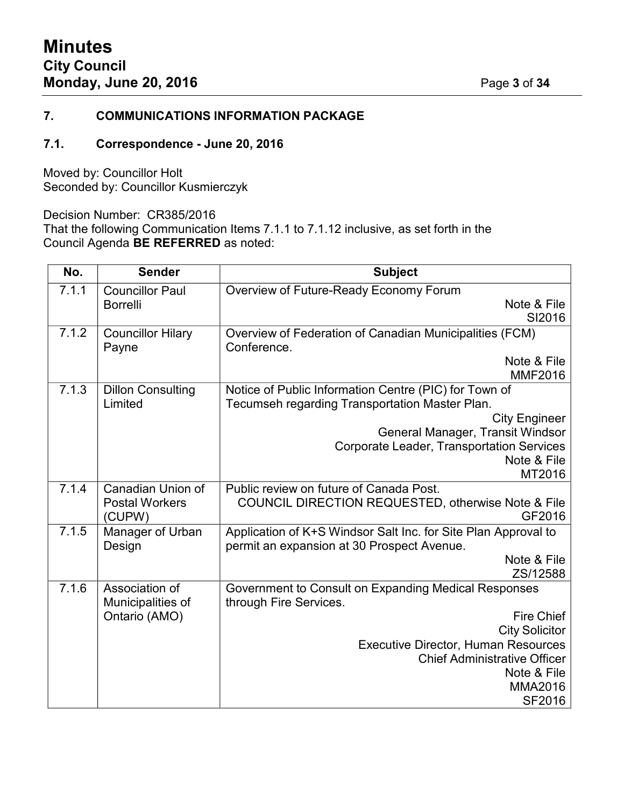#### **7. COMMUNICATIONS INFORMATION PACKAGE**

## **7.1. Correspondence - June 20, 2016**

Moved by: Councillor Holt Seconded by: Councillor Kusmierczyk

Decision Number: CR385/2016

That the following Communication Items 7.1.1 to 7.1.12 inclusive, as set forth in the Council Agenda **BE REFERRED** as noted:

| No.   | <b>Sender</b>              | <b>Subject</b>                                                 |  |
|-------|----------------------------|----------------------------------------------------------------|--|
| 7.1.1 | <b>Councillor Paul</b>     | Overview of Future-Ready Economy Forum                         |  |
|       | <b>Borrelli</b>            | Note & File                                                    |  |
|       |                            | SI2016                                                         |  |
| 7.1.2 | <b>Councillor Hilary</b>   | Overview of Federation of Canadian Municipalities (FCM)        |  |
|       | Payne                      | Conference.                                                    |  |
|       |                            | Note & File                                                    |  |
|       |                            | <b>MMF2016</b>                                                 |  |
| 7.1.3 | <b>Dillon Consulting</b>   | Notice of Public Information Centre (PIC) for Town of          |  |
|       | Limited                    | Tecumseh regarding Transportation Master Plan.                 |  |
|       |                            | <b>City Engineer</b>                                           |  |
|       |                            | General Manager, Transit Windsor                               |  |
|       |                            | <b>Corporate Leader, Transportation Services</b>               |  |
|       |                            | Note & File                                                    |  |
|       |                            | MT2016                                                         |  |
| 7.1.4 | Canadian Union of          | Public review on future of Canada Post.                        |  |
|       | <b>Postal Workers</b>      | COUNCIL DIRECTION REQUESTED, otherwise Note & File<br>GF2016   |  |
| 7.1.5 | (CUPW)<br>Manager of Urban |                                                                |  |
|       | Design                     | Application of K+S Windsor Salt Inc. for Site Plan Approval to |  |
|       |                            | permit an expansion at 30 Prospect Avenue.<br>Note & File      |  |
|       |                            | ZS/12588                                                       |  |
| 7.1.6 | Association of             | Government to Consult on Expanding Medical Responses           |  |
|       | Municipalities of          | through Fire Services.                                         |  |
|       | Ontario (AMO)              | <b>Fire Chief</b>                                              |  |
|       |                            | <b>City Solicitor</b>                                          |  |
|       |                            | <b>Executive Director, Human Resources</b>                     |  |
|       |                            | <b>Chief Administrative Officer</b>                            |  |
|       |                            | Note & File                                                    |  |
|       |                            | <b>MMA2016</b>                                                 |  |
|       |                            | SF2016                                                         |  |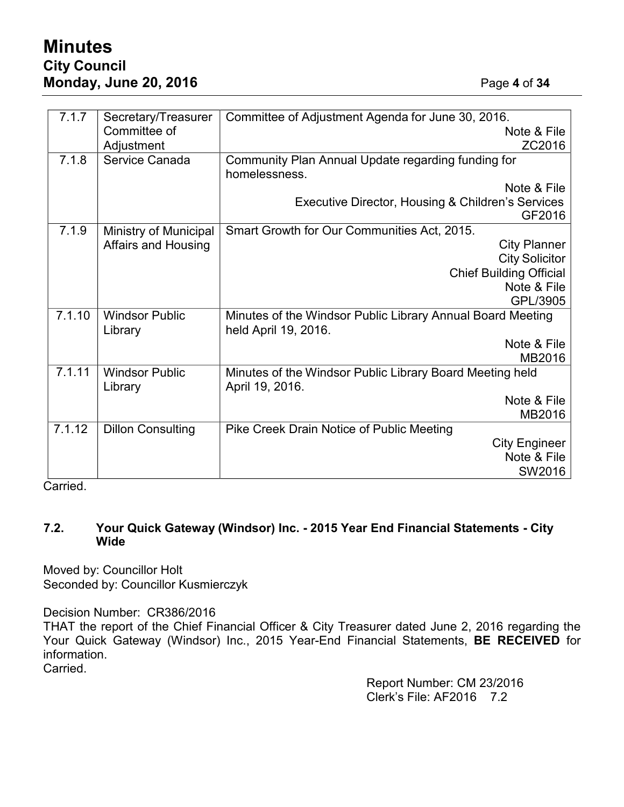# **Minutes City Council Monday, June 20, 2016** Page **4** of **34**

| 7.1.7  | Secretary/Treasurer        | Committee of Adjustment Agenda for June 30, 2016.          |  |  |
|--------|----------------------------|------------------------------------------------------------|--|--|
|        | Committee of               | Note & File                                                |  |  |
|        | Adjustment                 | ZC2016                                                     |  |  |
| 7.1.8  | Service Canada             | Community Plan Annual Update regarding funding for         |  |  |
|        |                            | homelessness.                                              |  |  |
|        |                            | Note & File                                                |  |  |
|        |                            | Executive Director, Housing & Children's Services          |  |  |
|        |                            | GF2016                                                     |  |  |
| 7.1.9  | Ministry of Municipal      | Smart Growth for Our Communities Act, 2015.                |  |  |
|        | <b>Affairs and Housing</b> | <b>City Planner</b>                                        |  |  |
|        |                            | <b>City Solicitor</b>                                      |  |  |
|        |                            | <b>Chief Building Official</b>                             |  |  |
|        |                            | Note & File                                                |  |  |
|        |                            | GPL/3905                                                   |  |  |
| 7.1.10 | <b>Windsor Public</b>      | Minutes of the Windsor Public Library Annual Board Meeting |  |  |
|        | Library                    | held April 19, 2016.                                       |  |  |
|        |                            | Note & File                                                |  |  |
|        |                            | MB2016                                                     |  |  |
| 7.1.11 | <b>Windsor Public</b>      | Minutes of the Windsor Public Library Board Meeting held   |  |  |
|        | Library                    | April 19, 2016.                                            |  |  |
|        |                            | Note & File                                                |  |  |
|        |                            | MB2016                                                     |  |  |
| 7.1.12 | <b>Dillon Consulting</b>   | Pike Creek Drain Notice of Public Meeting                  |  |  |
|        |                            | <b>City Engineer</b>                                       |  |  |
|        |                            | Note & File                                                |  |  |
|        |                            | SW2016                                                     |  |  |

Carried.

## **7.2. Your Quick Gateway (Windsor) Inc. - 2015 Year End Financial Statements - City Wide**

Moved by: Councillor Holt Seconded by: Councillor Kusmierczyk

Decision Number: CR386/2016

THAT the report of the Chief Financial Officer & City Treasurer dated June 2, 2016 regarding the Your Quick Gateway (Windsor) Inc., 2015 Year-End Financial Statements, **BE RECEIVED** for information.

Carried.

Report Number: CM 23/2016 Clerk's File: AF2016 7.2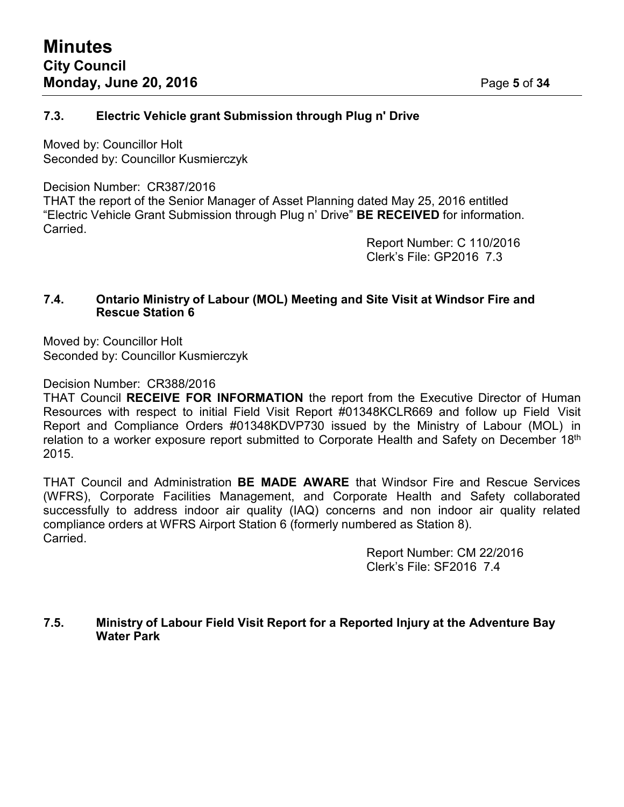## **7.3. Electric Vehicle grant Submission through Plug n' Drive**

Moved by: Councillor Holt Seconded by: Councillor Kusmierczyk

#### Decision Number: CR387/2016

THAT the report of the Senior Manager of Asset Planning dated May 25, 2016 entitled "Electric Vehicle Grant Submission through Plug n' Drive" **BE RECEIVED** for information. Carried.

> Report Number: C 110/2016 Clerk's File: GP2016 7.3

#### **7.4. Ontario Ministry of Labour (MOL) Meeting and Site Visit at Windsor Fire and Rescue Station 6**

Moved by: Councillor Holt Seconded by: Councillor Kusmierczyk

Decision Number: CR388/2016

THAT Council **RECEIVE FOR INFORMATION** the report from the Executive Director of Human Resources with respect to initial Field Visit Report #01348KCLR669 and follow up Field Visit Report and Compliance Orders #01348KDVP730 issued by the Ministry of Labour (MOL) in relation to a worker exposure report submitted to Corporate Health and Safety on December 18<sup>th</sup> 2015.

THAT Council and Administration **BE MADE AWARE** that Windsor Fire and Rescue Services (WFRS), Corporate Facilities Management, and Corporate Health and Safety collaborated successfully to address indoor air quality (IAQ) concerns and non indoor air quality related compliance orders at WFRS Airport Station 6 (formerly numbered as Station 8). Carried.

> Report Number: CM 22/2016 Clerk's File: SF2016 7.4

## **7.5. Ministry of Labour Field Visit Report for a Reported Injury at the Adventure Bay Water Park**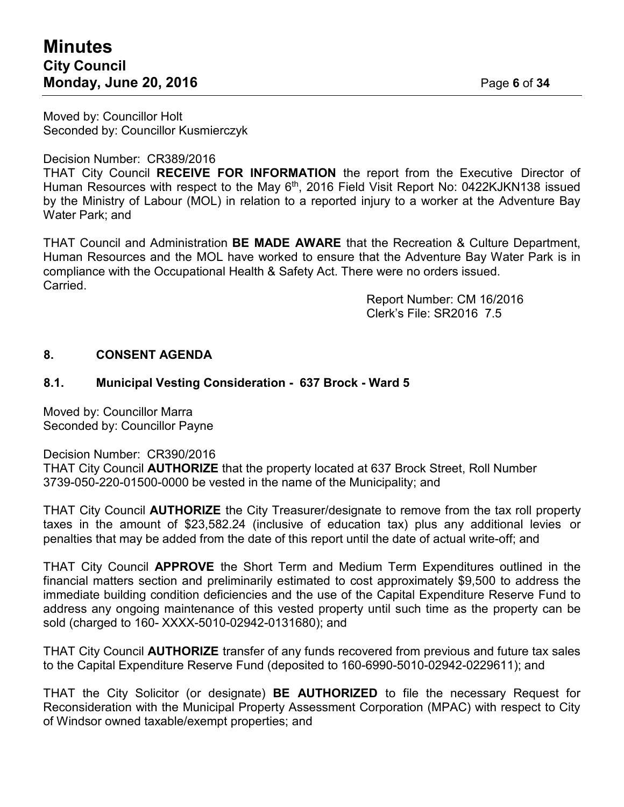# **Minutes City Council Monday, June 20, 2016** Page **6** of **34**

Moved by: Councillor Holt Seconded by: Councillor Kusmierczyk

Decision Number: CR389/2016

THAT City Council **RECEIVE FOR INFORMATION** the report from the Executive Director of Human Resources with respect to the May 6<sup>th</sup>, 2016 Field Visit Report No: 0422KJKN138 issued by the Ministry of Labour (MOL) in relation to a reported injury to a worker at the Adventure Bay Water Park; and

THAT Council and Administration **BE MADE AWARE** that the Recreation & Culture Department, Human Resources and the MOL have worked to ensure that the Adventure Bay Water Park is in compliance with the Occupational Health & Safety Act. There were no orders issued. Carried.

> Report Number: CM 16/2016 Clerk's File: SR2016 7.5

# **8. CONSENT AGENDA**

## **8.1. Municipal Vesting Consideration - 637 Brock - Ward 5**

Moved by: Councillor Marra Seconded by: Councillor Payne

Decision Number: CR390/2016

THAT City Council **AUTHORIZE** that the property located at 637 Brock Street, Roll Number 3739-050-220-01500-0000 be vested in the name of the Municipality; and

THAT City Council **AUTHORIZE** the City Treasurer/designate to remove from the tax roll property taxes in the amount of \$23,582.24 (inclusive of education tax) plus any additional levies or penalties that may be added from the date of this report until the date of actual write-off; and

THAT City Council **APPROVE** the Short Term and Medium Term Expenditures outlined in the financial matters section and preliminarily estimated to cost approximately \$9,500 to address the immediate building condition deficiencies and the use of the Capital Expenditure Reserve Fund to address any ongoing maintenance of this vested property until such time as the property can be sold (charged to 160- XXXX-5010-02942-0131680); and

THAT City Council **AUTHORIZE** transfer of any funds recovered from previous and future tax sales to the Capital Expenditure Reserve Fund (deposited to 160-6990-5010-02942-0229611); and

THAT the City Solicitor (or designate) **BE AUTHORIZED** to file the necessary Request for Reconsideration with the Municipal Property Assessment Corporation (MPAC) with respect to City of Windsor owned taxable/exempt properties; and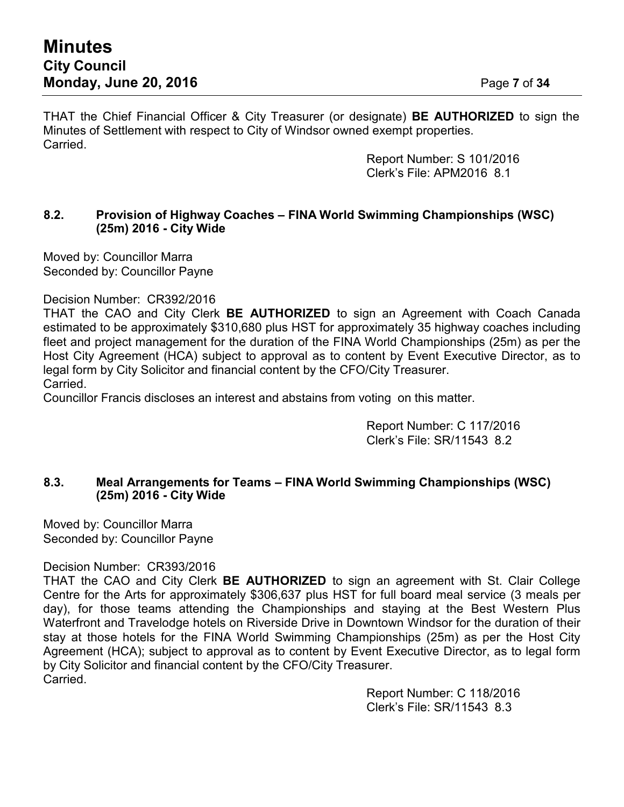THAT the Chief Financial Officer & City Treasurer (or designate) **BE AUTHORIZED** to sign the Minutes of Settlement with respect to City of Windsor owned exempt properties. Carried.

> Report Number: S 101/2016 Clerk's File: APM2016 8.1

## **8.2. Provision of Highway Coaches – FINA World Swimming Championships (WSC) (25m) 2016 - City Wide**

Moved by: Councillor Marra Seconded by: Councillor Payne

Decision Number: CR392/2016

THAT the CAO and City Clerk **BE AUTHORIZED** to sign an Agreement with Coach Canada estimated to be approximately \$310,680 plus HST for approximately 35 highway coaches including fleet and project management for the duration of the FINA World Championships (25m) as per the Host City Agreement (HCA) subject to approval as to content by Event Executive Director, as to legal form by City Solicitor and financial content by the CFO/City Treasurer. Carried.

Councillor Francis discloses an interest and abstains from voting on this matter.

Report Number: C 117/2016 Clerk's File: SR/11543 8.2

## **8.3. Meal Arrangements for Teams – FINA World Swimming Championships (WSC) (25m) 2016 - City Wide**

Moved by: Councillor Marra Seconded by: Councillor Payne

## Decision Number: CR393/2016

THAT the CAO and City Clerk **BE AUTHORIZED** to sign an agreement with St. Clair College Centre for the Arts for approximately \$306,637 plus HST for full board meal service (3 meals per day), for those teams attending the Championships and staying at the Best Western Plus Waterfront and Travelodge hotels on Riverside Drive in Downtown Windsor for the duration of their stay at those hotels for the FINA World Swimming Championships (25m) as per the Host City Agreement (HCA); subject to approval as to content by Event Executive Director, as to legal form by City Solicitor and financial content by the CFO/City Treasurer. Carried.

> Report Number: C 118/2016 Clerk's File: SR/11543 8.3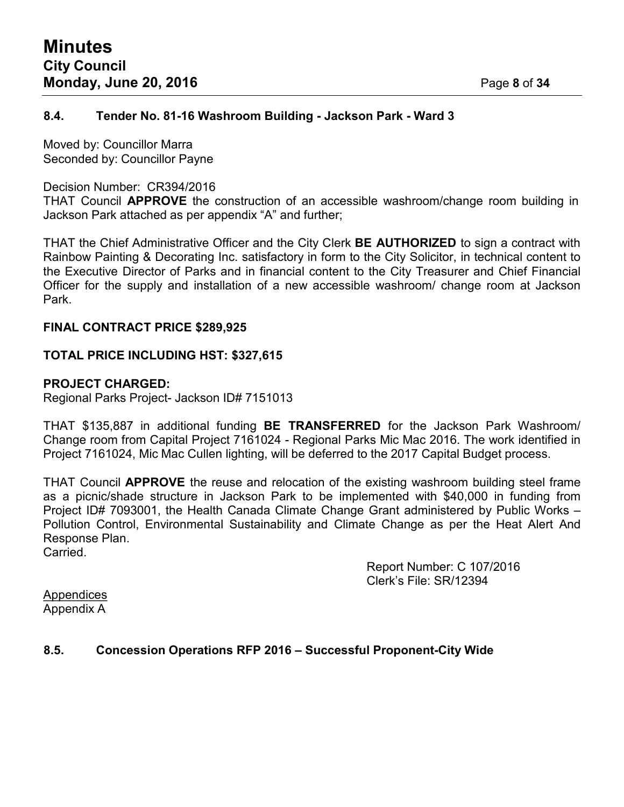## **8.4. Tender No. 81-16 Washroom Building - Jackson Park - Ward 3**

Moved by: Councillor Marra Seconded by: Councillor Payne

#### Decision Number: CR394/2016

THAT Council **APPROVE** the construction of an accessible washroom/change room building in Jackson Park attached as per appendix "A" and further;

THAT the Chief Administrative Officer and the City Clerk **BE AUTHORIZED** to sign a contract with Rainbow Painting & Decorating Inc. satisfactory in form to the City Solicitor, in technical content to the Executive Director of Parks and in financial content to the City Treasurer and Chief Financial Officer for the supply and installation of a new accessible washroom/ change room at Jackson Park.

## **FINAL CONTRACT PRICE \$289,925**

## **TOTAL PRICE INCLUDING HST: \$327,615**

## **PROJECT CHARGED:**

Regional Parks Project- Jackson ID# 7151013

THAT \$135,887 in additional funding **BE TRANSFERRED** for the Jackson Park Washroom/ Change room from Capital Project 7161024 - Regional Parks Mic Mac 2016. The work identified in Project 7161024, Mic Mac Cullen lighting, will be deferred to the 2017 Capital Budget process.

THAT Council **APPROVE** the reuse and relocation of the existing washroom building steel frame as a picnic/shade structure in Jackson Park to be implemented with \$40,000 in funding from Project ID# 7093001, the Health Canada Climate Change Grant administered by Public Works – Pollution Control, Environmental Sustainability and Climate Change as per the Heat Alert And Response Plan. Carried.

> Report Number: C 107/2016 Clerk's File: SR/12394

**Appendices** Appendix A

## **8.5. Concession Operations RFP 2016 – Successful Proponent-City Wide**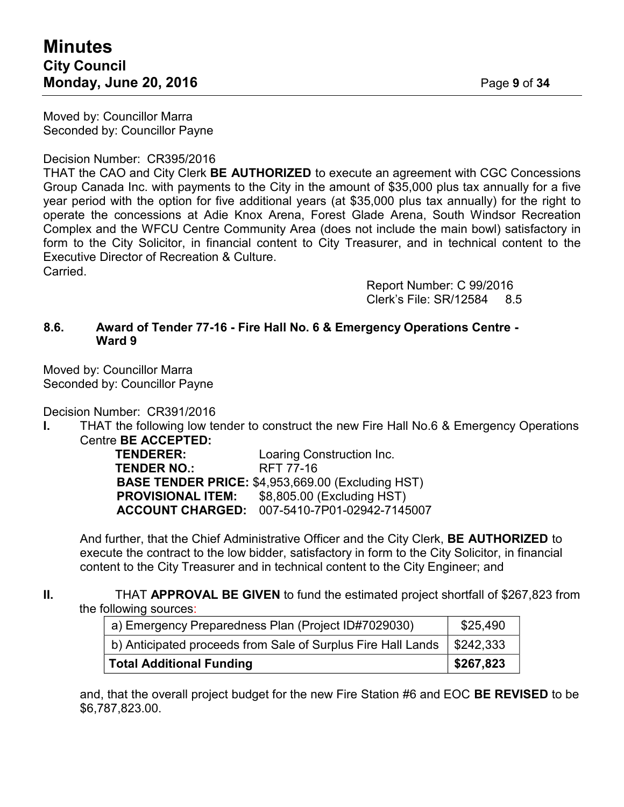Moved by: Councillor Marra Seconded by: Councillor Payne

#### Decision Number: CR395/2016

THAT the CAO and City Clerk **BE AUTHORIZED** to execute an agreement with CGC Concessions Group Canada Inc. with payments to the City in the amount of \$35,000 plus tax annually for a five year period with the option for five additional years (at \$35,000 plus tax annually) for the right to operate the concessions at Adie Knox Arena, Forest Glade Arena, South Windsor Recreation Complex and the WFCU Centre Community Area (does not include the main bowl) satisfactory in form to the City Solicitor, in financial content to City Treasurer, and in technical content to the Executive Director of Recreation & Culture. Carried.

> Report Number: C 99/2016 Clerk's File: SR/12584 8.5

#### **8.6. Award of Tender 77-16 - Fire Hall No. 6 & Emergency Operations Centre - Ward 9**

Moved by: Councillor Marra Seconded by: Councillor Payne

Decision Number: CR391/2016

**I.** THAT the following low tender to construct the new Fire Hall No.6 & Emergency Operations Centre **BE ACCEPTED:**

Loaring Construction Inc. **TENDER NO.:** RFT 77-16 **BASE TENDER PRICE:** \$4,953,669.00 (Excluding HST) **PROVISIONAL ITEM:** \$8,805.00 (Excluding HST) **ACCOUNT CHARGED:** 007-5410-7P01-02942-7145007

And further, that the Chief Administrative Officer and the City Clerk, **BE AUTHORIZED** to execute the contract to the low bidder, satisfactory in form to the City Solicitor, in financial content to the City Treasurer and in technical content to the City Engineer; and

**II.** THAT **APPROVAL BE GIVEN** to fund the estimated project shortfall of \$267,823 from the following sources:

| a) Emergency Preparedness Plan (Project ID#7029030)          | \$25,490                |
|--------------------------------------------------------------|-------------------------|
| b) Anticipated proceeds from Sale of Surplus Fire Hall Lands | $\frac{1}{2}$ \$242.333 |
| <b>Total Additional Funding</b>                              | \$267,823               |

and, that the overall project budget for the new Fire Station #6 and EOC **BE REVISED** to be \$6,787,823.00.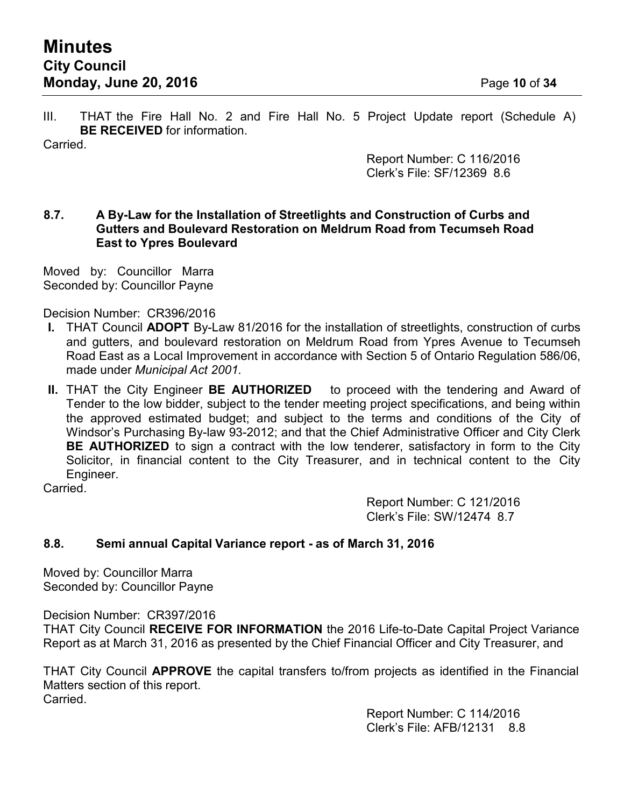III. THAT the Fire Hall No. 2 and Fire Hall No. 5 Project Update report (Schedule A) **BE RECEIVED** for information.

Carried.

Report Number: C 116/2016 Clerk's File: SF/12369 8.6

## **8.7. A By-Law for the Installation of Streetlights and Construction of Curbs and Gutters and Boulevard Restoration on Meldrum Road from Tecumseh Road East to Ypres Boulevard**

Moved by: Councillor Marra Seconded by: Councillor Payne

Decision Number: CR396/2016

- **I.** THAT Council **ADOPT** By-Law 81/2016 for the installation of streetlights, construction of curbs and gutters, and boulevard restoration on Meldrum Road from Ypres Avenue to Tecumseh Road East as a Local Improvement in accordance with Section 5 of Ontario Regulation 586/06, made under *Municipal Act 2001.*
- **II.** THAT the City Engineer **BE AUTHORIZED** to proceed with the tendering and Award of Tender to the low bidder, subject to the tender meeting project specifications, and being within the approved estimated budget; and subject to the terms and conditions of the City of Windsor's Purchasing By-law 93-2012; and that the Chief Administrative Officer and City Clerk **BE AUTHORIZED** to sign a contract with the low tenderer, satisfactory in form to the City Solicitor, in financial content to the City Treasurer, and in technical content to the City Engineer.

Carried.

Report Number: C 121/2016 Clerk's File: SW/12474 8.7

# **8.8. Semi annual Capital Variance report - as of March 31, 2016**

Moved by: Councillor Marra Seconded by: Councillor Payne

Decision Number: CR397/2016

THAT City Council **RECEIVE FOR INFORMATION** the 2016 Life-to-Date Capital Project Variance Report as at March 31, 2016 as presented by the Chief Financial Officer and City Treasurer, and

THAT City Council **APPROVE** the capital transfers to/from projects as identified in the Financial Matters section of this report. Carried.

> Report Number: C 114/2016 Clerk's File: AFB/12131 8.8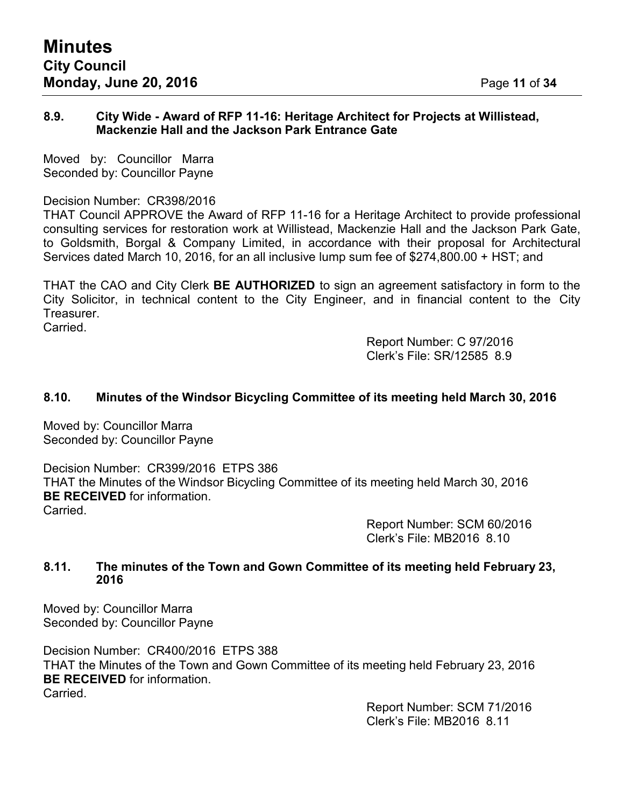#### **8.9. City Wide - Award of RFP 11-16: Heritage Architect for Projects at Willistead, Mackenzie Hall and the Jackson Park Entrance Gate**

Moved by: Councillor Marra Seconded by: Councillor Payne

## Decision Number: CR398/2016

THAT Council APPROVE the Award of RFP 11-16 for a Heritage Architect to provide professional consulting services for restoration work at Willistead, Mackenzie Hall and the Jackson Park Gate, to Goldsmith, Borgal & Company Limited, in accordance with their proposal for Architectural Services dated March 10, 2016, for an all inclusive lump sum fee of \$274,800.00 + HST; and

THAT the CAO and City Clerk **BE AUTHORIZED** to sign an agreement satisfactory in form to the City Solicitor, in technical content to the City Engineer, and in financial content to the City Treasurer.

**Carried** 

Report Number: C 97/2016 Clerk's File: SR/12585 8.9

# **8.10. Minutes of the Windsor Bicycling Committee of its meeting held March 30, 2016**

Moved by: Councillor Marra Seconded by: Councillor Payne

Decision Number: CR399/2016 ETPS 386 THAT the Minutes of the Windsor Bicycling Committee of its meeting held March 30, 2016 **BE RECEIVED** for information. Carried.

> Report Number: SCM 60/2016 Clerk's File: MB2016 8.10

## **8.11. The minutes of the Town and Gown Committee of its meeting held February 23, 2016**

Moved by: Councillor Marra Seconded by: Councillor Payne

Decision Number: CR400/2016 ETPS 388 THAT the Minutes of the Town and Gown Committee of its meeting held February 23, 2016 **BE RECEIVED** for information. Carried.

> Report Number: SCM 71/2016 Clerk's File: MB2016 8.11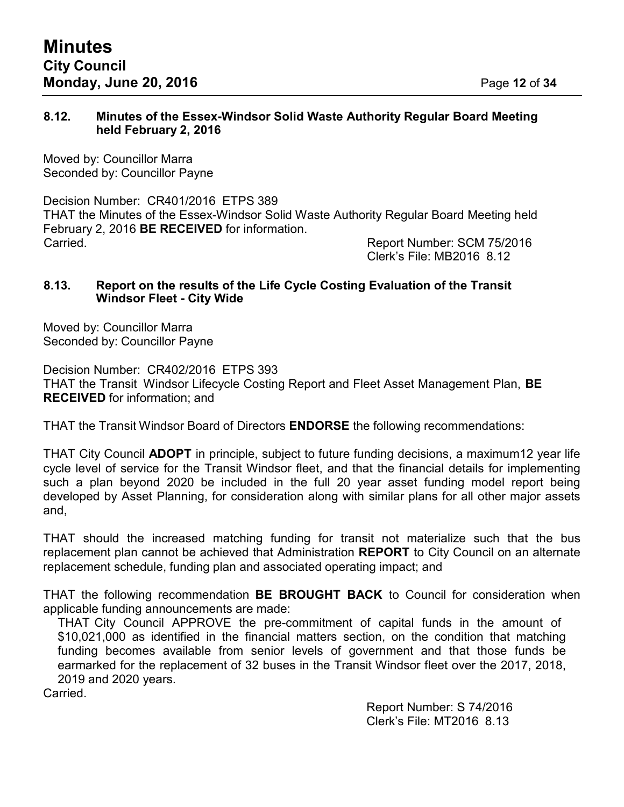#### **8.12. Minutes of the Essex-Windsor Solid Waste Authority Regular Board Meeting held February 2, 2016**

Moved by: Councillor Marra Seconded by: Councillor Payne

Decision Number: CR401/2016 ETPS 389 THAT the Minutes of the Essex-Windsor Solid Waste Authority Regular Board Meeting held February 2, 2016 **BE RECEIVED** for information. Carried. Report Number: SCM 75/2016

Clerk's File: MB2016 8.12

## **8.13. Report on the results of the Life Cycle Costing Evaluation of the Transit Windsor Fleet - City Wide**

Moved by: Councillor Marra Seconded by: Councillor Payne

Decision Number: CR402/2016 ETPS 393 THAT the Transit Windsor Lifecycle Costing Report and Fleet Asset Management Plan, **BE RECEIVED** for information; and

THAT the Transit Windsor Board of Directors **ENDORSE** the following recommendations:

THAT City Council **ADOPT** in principle, subject to future funding decisions, a maximum12 year life cycle level of service for the Transit Windsor fleet, and that the financial details for implementing such a plan beyond 2020 be included in the full 20 year asset funding model report being developed by Asset Planning, for consideration along with similar plans for all other major assets and,

THAT should the increased matching funding for transit not materialize such that the bus replacement plan cannot be achieved that Administration **REPORT** to City Council on an alternate replacement schedule, funding plan and associated operating impact; and

THAT the following recommendation **BE BROUGHT BACK** to Council for consideration when applicable funding announcements are made:

THAT City Council APPROVE the pre-commitment of capital funds in the amount of \$10,021,000 as identified in the financial matters section, on the condition that matching funding becomes available from senior levels of government and that those funds be earmarked for the replacement of 32 buses in the Transit Windsor fleet over the 2017, 2018, 2019 and 2020 years.

Carried.

Report Number: S 74/2016 Clerk's File: MT2016 8.13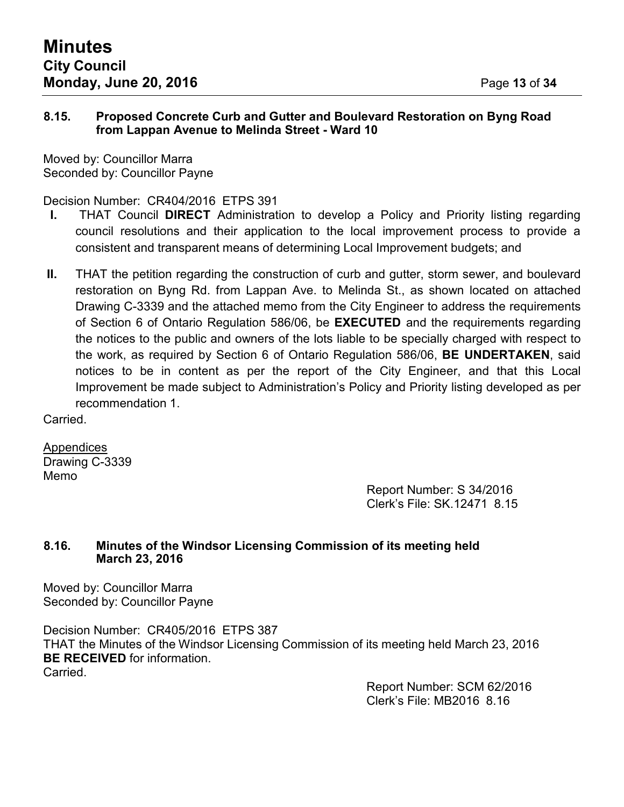## **8.15. Proposed Concrete Curb and Gutter and Boulevard Restoration on Byng Road from Lappan Avenue to Melinda Street - Ward 10**

Moved by: Councillor Marra Seconded by: Councillor Payne

# Decision Number: CR404/2016 ETPS 391

- **I.** THAT Council **DIRECT** Administration to develop a Policy and Priority listing regarding council resolutions and their application to the local improvement process to provide a consistent and transparent means of determining Local Improvement budgets; and
- **II.** THAT the petition regarding the construction of curb and gutter, storm sewer, and boulevard restoration on Byng Rd. from Lappan Ave. to Melinda St., as shown located on attached Drawing C-3339 and the attached memo from the City Engineer to address the requirements of Section 6 of Ontario Regulation 586/06, be **EXECUTED** and the requirements regarding the notices to the public and owners of the lots liable to be specially charged with respect to the work, as required by Section 6 of Ontario Regulation 586/06, **BE UNDERTAKEN**, said notices to be in content as per the report of the City Engineer, and that this Local Improvement be made subject to Administration's Policy and Priority listing developed as per recommendation 1.

Carried.

Appendices Drawing C-3339 Memo

Report Number: S 34/2016 Clerk's File: SK.12471 8.15

# **8.16. Minutes of the Windsor Licensing Commission of its meeting held March 23, 2016**

Moved by: Councillor Marra Seconded by: Councillor Payne

Decision Number: CR405/2016 ETPS 387 THAT the Minutes of the Windsor Licensing Commission of its meeting held March 23, 2016 **BE RECEIVED** for information. Carried.

Report Number: SCM 62/2016 Clerk's File: MB2016 8.16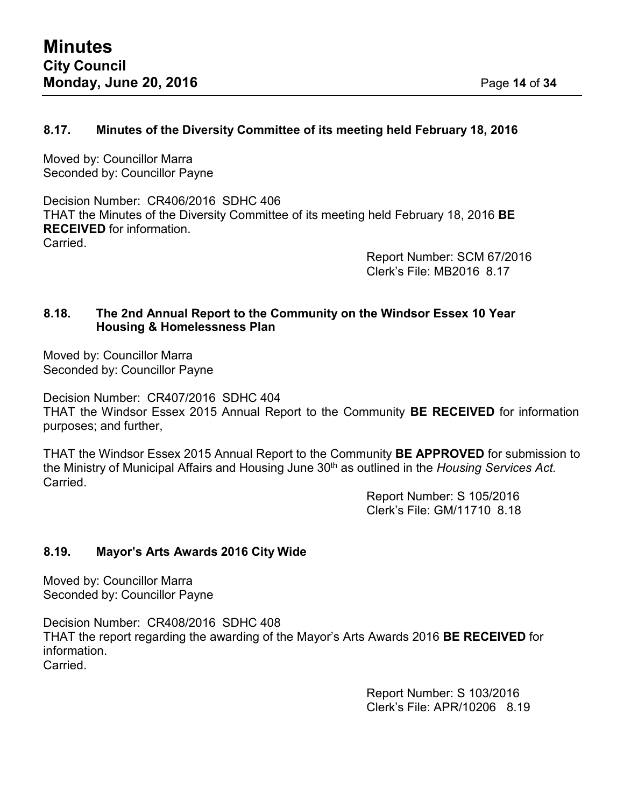## **8.17. Minutes of the Diversity Committee of its meeting held February 18, 2016**

Moved by: Councillor Marra Seconded by: Councillor Payne

Decision Number: CR406/2016 SDHC 406 THAT the Minutes of the Diversity Committee of its meeting held February 18, 2016 **BE RECEIVED** for information. Carried.

> Report Number: SCM 67/2016 Clerk's File: MB2016 8.17

## **8.18. The 2nd Annual Report to the Community on the Windsor Essex 10 Year Housing & Homelessness Plan**

Moved by: Councillor Marra Seconded by: Councillor Payne

Decision Number: CR407/2016 SDHC 404 THAT the Windsor Essex 2015 Annual Report to the Community **BE RECEIVED** for information purposes; and further,

THAT the Windsor Essex 2015 Annual Report to the Community **BE APPROVED** for submission to the Ministry of Municipal Affairs and Housing June 30th as outlined in the *Housing Services Act.* Carried.

> Report Number: S 105/2016 Clerk's File: GM/11710 8.18

# **8.19. Mayor's Arts Awards 2016 City Wide**

Moved by: Councillor Marra Seconded by: Councillor Payne

Decision Number: CR408/2016 SDHC 408 THAT the report regarding the awarding of the Mayor's Arts Awards 2016 **BE RECEIVED** for information. Carried.

> Report Number: S 103/2016 Clerk's File: APR/10206 8.19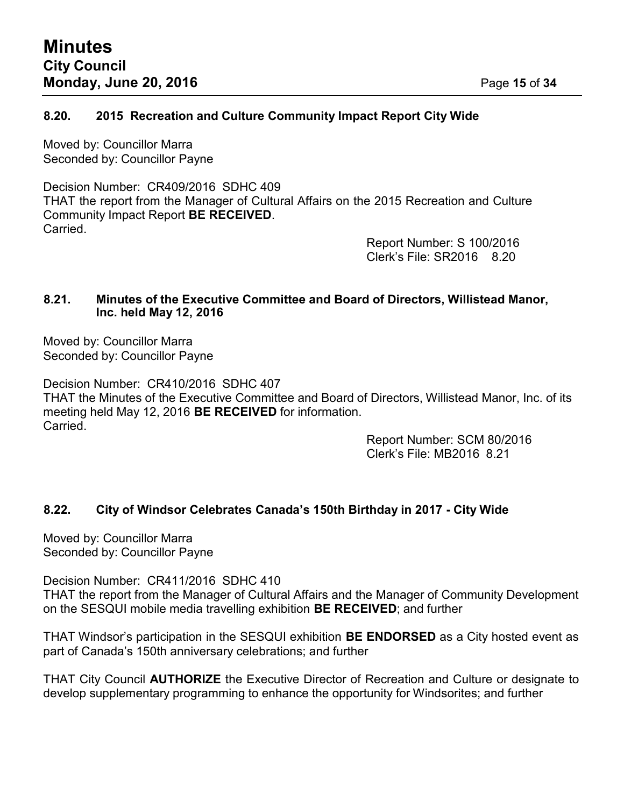## **8.20. 2015 Recreation and Culture Community Impact Report City Wide**

Moved by: Councillor Marra Seconded by: Councillor Payne

Decision Number: CR409/2016 SDHC 409 THAT the report from the Manager of Cultural Affairs on the 2015 Recreation and Culture Community Impact Report **BE RECEIVED**. **Carried** 

Report Number: S 100/2016 Clerk's File: SR2016 8.20

## **8.21. Minutes of the Executive Committee and Board of Directors, Willistead Manor, Inc. held May 12, 2016**

Moved by: Councillor Marra Seconded by: Councillor Payne

Decision Number: CR410/2016 SDHC 407 THAT the Minutes of the Executive Committee and Board of Directors, Willistead Manor, Inc. of its meeting held May 12, 2016 **BE RECEIVED** for information. Carried.

Report Number: SCM 80/2016 Clerk's File: MB2016 8.21

# **8.22. City of Windsor Celebrates Canada's 150th Birthday in 2017 - City Wide**

Moved by: Councillor Marra Seconded by: Councillor Payne

Decision Number: CR411/2016 SDHC 410 THAT the report from the Manager of Cultural Affairs and the Manager of Community Development on the SESQUI mobile media travelling exhibition **BE RECEIVED**; and further

THAT Windsor's participation in the SESQUI exhibition **BE ENDORSED** as a City hosted event as part of Canada's 150th anniversary celebrations; and further

THAT City Council **AUTHORIZE** the Executive Director of Recreation and Culture or designate to develop supplementary programming to enhance the opportunity for Windsorites; and further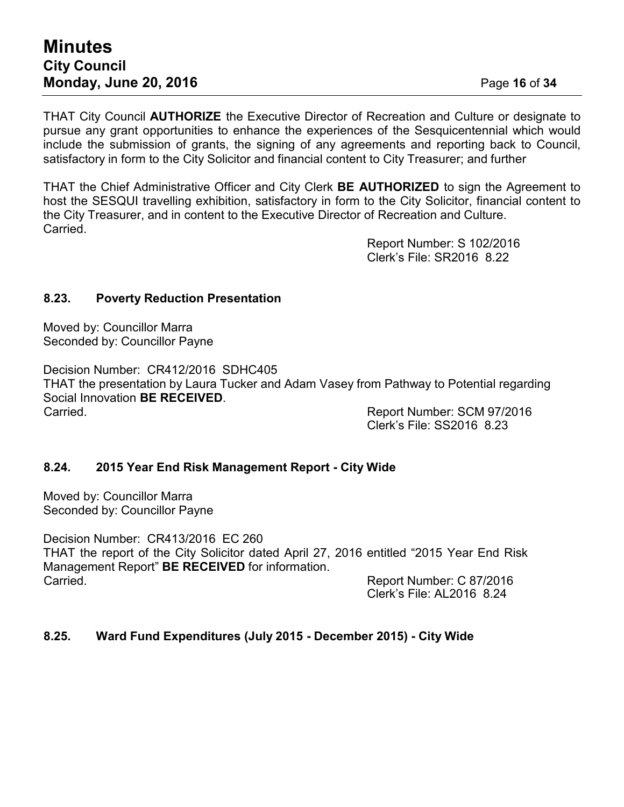THAT City Council **AUTHORIZE** the Executive Director of Recreation and Culture or designate to pursue any grant opportunities to enhance the experiences of the Sesquicentennial which would include the submission of grants, the signing of any agreements and reporting back to Council, satisfactory in form to the City Solicitor and financial content to City Treasurer; and further

THAT the Chief Administrative Officer and City Clerk **BE AUTHORIZED** to sign the Agreement to host the SESQUI travelling exhibition, satisfactory in form to the City Solicitor, financial content to the City Treasurer, and in content to the Executive Director of Recreation and Culture. Carried.

> Report Number: S 102/2016 Clerk's File: SR2016 8.22

## **8.23. Poverty Reduction Presentation**

Moved by: Councillor Marra Seconded by: Councillor Payne

Decision Number: CR412/2016 SDHC405 THAT the presentation by Laura Tucker and Adam Vasey from Pathway to Potential regarding Social Innovation **BE RECEIVED**. Carried. Report Number: SCM 97/2016

Clerk's File: SS2016 8.23

#### **8.24. 2015 Year End Risk Management Report - City Wide**

Moved by: Councillor Marra Seconded by: Councillor Payne

Decision Number: CR413/2016 EC 260 THAT the report of the City Solicitor dated April 27, 2016 entitled "2015 Year End Risk Management Report" **BE RECEIVED** for information. Carried. Report Number: C 87/2016

Clerk's File: AL2016 8.24

#### **8.25. Ward Fund Expenditures (July 2015 - December 2015) - City Wide**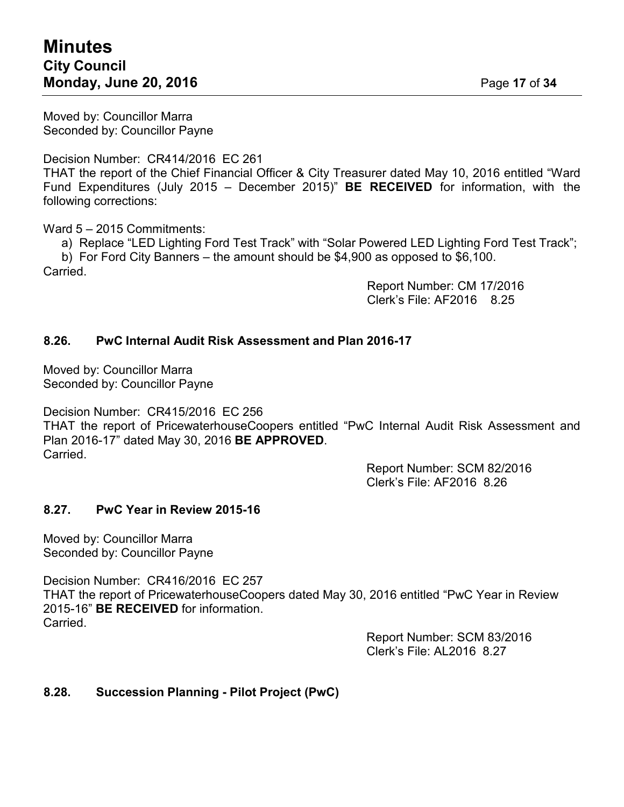Moved by: Councillor Marra Seconded by: Councillor Payne

Decision Number: CR414/2016 EC 261

THAT the report of the Chief Financial Officer & City Treasurer dated May 10, 2016 entitled "Ward Fund Expenditures (July 2015 – December 2015)" **BE RECEIVED** for information, with the following corrections:

Ward 5 – 2015 Commitments:

a) Replace "LED Lighting Ford Test Track" with "Solar Powered LED Lighting Ford Test Track"; b) For Ford City Banners – the amount should be \$4,900 as opposed to \$6,100.

Carried.

Report Number: CM 17/2016 Clerk's File: AF2016 8.25

## **8.26. PwC Internal Audit Risk Assessment and Plan 2016-17**

Moved by: Councillor Marra Seconded by: Councillor Payne

Decision Number: CR415/2016 EC 256 THAT the report of PricewaterhouseCoopers entitled "PwC Internal Audit Risk Assessment and Plan 2016-17" dated May 30, 2016 **BE APPROVED**. Carried.

> Report Number: SCM 82/2016 Clerk's File: AF2016 8.26

#### **8.27. PwC Year in Review 2015-16**

Moved by: Councillor Marra Seconded by: Councillor Payne

Decision Number: CR416/2016 EC 257 THAT the report of PricewaterhouseCoopers dated May 30, 2016 entitled "PwC Year in Review 2015-16" **BE RECEIVED** for information. Carried.

> Report Number: SCM 83/2016 Clerk's File: AL2016 8.27

## **8.28. Succession Planning - Pilot Project (PwC)**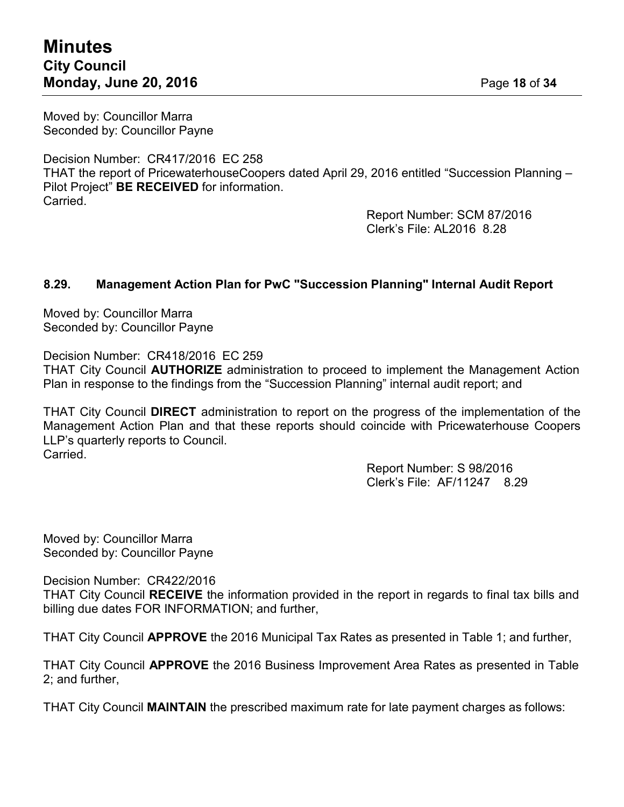Moved by: Councillor Marra Seconded by: Councillor Payne

Decision Number: CR417/2016 EC 258 THAT the report of PricewaterhouseCoopers dated April 29, 2016 entitled "Succession Planning – Pilot Project" **BE RECEIVED** for information. Carried.

> Report Number: SCM 87/2016 Clerk's File: AL2016 8.28

## **8.29. Management Action Plan for PwC "Succession Planning" Internal Audit Report**

Moved by: Councillor Marra Seconded by: Councillor Payne

Decision Number: CR418/2016 EC 259

THAT City Council **AUTHORIZE** administration to proceed to implement the Management Action Plan in response to the findings from the "Succession Planning" internal audit report; and

THAT City Council **DIRECT** administration to report on the progress of the implementation of the Management Action Plan and that these reports should coincide with Pricewaterhouse Coopers LLP's quarterly reports to Council. Carried.

> Report Number: S 98/2016 Clerk's File: AF/11247 8.29

Moved by: Councillor Marra Seconded by: Councillor Payne

Decision Number: CR422/2016

THAT City Council **RECEIVE** the information provided in the report in regards to final tax bills and billing due dates FOR INFORMATION; and further,

THAT City Council **APPROVE** the 2016 Municipal Tax Rates as presented in Table 1; and further,

THAT City Council **APPROVE** the 2016 Business Improvement Area Rates as presented in Table 2; and further,

THAT City Council **MAINTAIN** the prescribed maximum rate for late payment charges as follows: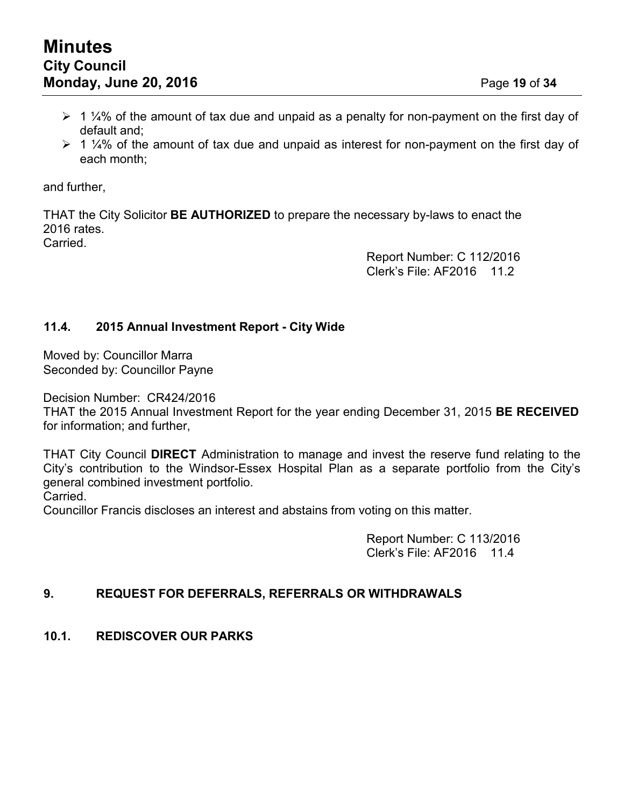- $\geq 1$  ¼% of the amount of tax due and unpaid as a penalty for non-payment on the first day of default and;
- $\geq 1$  ¼% of the amount of tax due and unpaid as interest for non-payment on the first day of each month;

and further,

THAT the City Solicitor **BE AUTHORIZED** to prepare the necessary by-laws to enact the 2016 rates.

Carried.

Report Number: C 112/2016 Clerk's File: AF2016 11.2

## **11.4. 2015 Annual Investment Report - City Wide**

Moved by: Councillor Marra Seconded by: Councillor Payne

Decision Number: CR424/2016

THAT the 2015 Annual Investment Report for the year ending December 31, 2015 **BE RECEIVED** for information; and further,

THAT City Council **DIRECT** Administration to manage and invest the reserve fund relating to the City's contribution to the Windsor-Essex Hospital Plan as a separate portfolio from the City's general combined investment portfolio.

Carried.

Councillor Francis discloses an interest and abstains from voting on this matter.

Report Number: C 113/2016 Clerk's File: AF2016 11.4

## **9. REQUEST FOR DEFERRALS, REFERRALS OR WITHDRAWALS**

## **10.1. REDISCOVER OUR PARKS**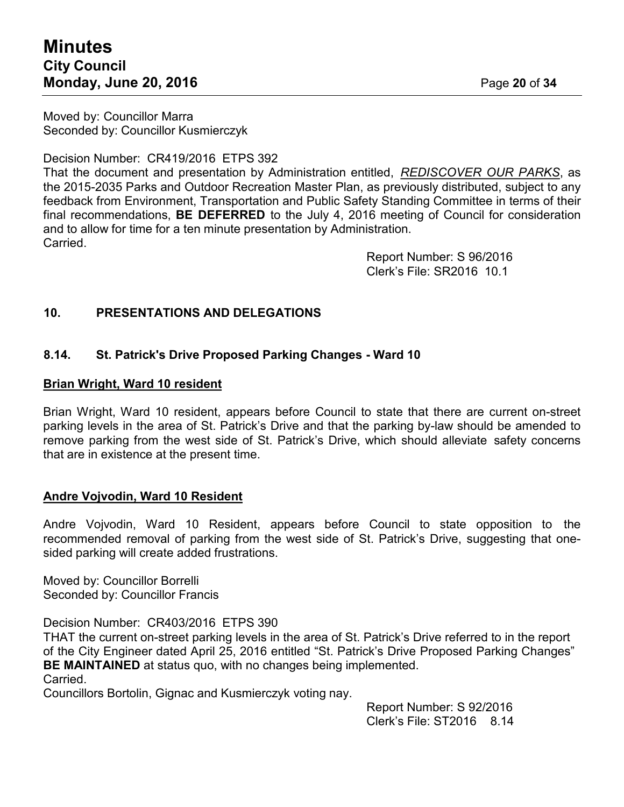# **Minutes City Council Monday, June 20, 2016** Page **20** of **34**

Moved by: Councillor Marra Seconded by: Councillor Kusmierczyk

Decision Number: CR419/2016 ETPS 392

That the document and presentation by Administration entitled, *REDISCOVER OUR PARKS*, as the 2015-2035 Parks and Outdoor Recreation Master Plan, as previously distributed, subject to any feedback from Environment, Transportation and Public Safety Standing Committee in terms of their final recommendations, **BE DEFERRED** to the July 4, 2016 meeting of Council for consideration and to allow for time for a ten minute presentation by Administration. Carried.

> Report Number: S 96/2016 Clerk's File: SR2016 10.1

## **10. PRESENTATIONS AND DELEGATIONS**

## **8.14. St. Patrick's Drive Proposed Parking Changes - Ward 10**

#### **Brian Wright, Ward 10 resident**

Brian Wright, Ward 10 resident, appears before Council to state that there are current on-street parking levels in the area of St. Patrick's Drive and that the parking by-law should be amended to remove parking from the west side of St. Patrick's Drive, which should alleviate safety concerns that are in existence at the present time.

## **Andre Vojvodin, Ward 10 Resident**

Andre Vojvodin, Ward 10 Resident, appears before Council to state opposition to the recommended removal of parking from the west side of St. Patrick's Drive, suggesting that onesided parking will create added frustrations.

Moved by: Councillor Borrelli Seconded by: Councillor Francis

Decision Number: CR403/2016 ETPS 390

THAT the current on-street parking levels in the area of St. Patrick's Drive referred to in the report of the City Engineer dated April 25, 2016 entitled "St. Patrick's Drive Proposed Parking Changes" **BE MAINTAINED** at status quo, with no changes being implemented. Carried.

Councillors Bortolin, Gignac and Kusmierczyk voting nay.

Report Number: S 92/2016 Clerk's File: ST2016 8.14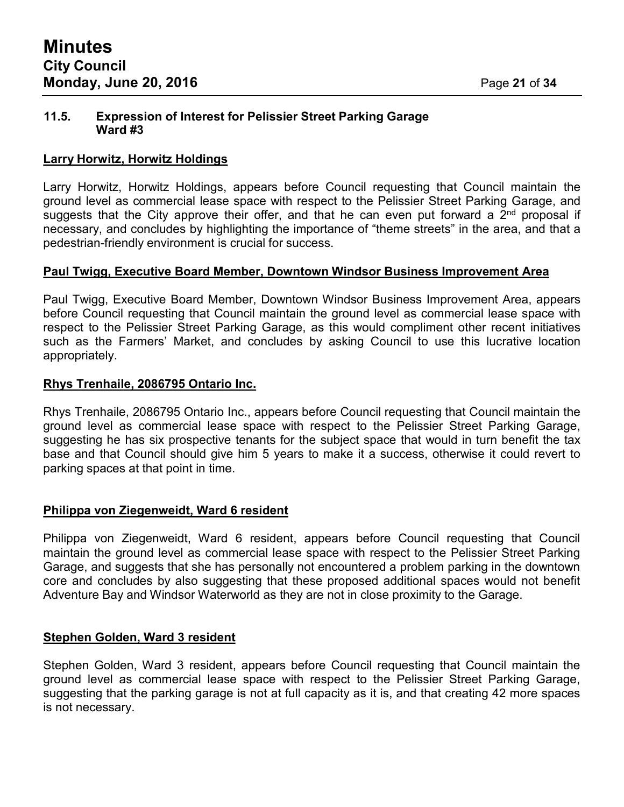#### **11.5. Expression of Interest for Pelissier Street Parking Garage Ward #3**

#### **Larry Horwitz, Horwitz Holdings**

Larry Horwitz, Horwitz Holdings, appears before Council requesting that Council maintain the ground level as commercial lease space with respect to the Pelissier Street Parking Garage, and suggests that the City approve their offer, and that he can even put forward a  $2<sup>nd</sup>$  proposal if necessary, and concludes by highlighting the importance of "theme streets" in the area, and that a pedestrian-friendly environment is crucial for success.

#### **Paul Twigg, Executive Board Member, Downtown Windsor Business Improvement Area**

Paul Twigg, Executive Board Member, Downtown Windsor Business Improvement Area, appears before Council requesting that Council maintain the ground level as commercial lease space with respect to the Pelissier Street Parking Garage, as this would compliment other recent initiatives such as the Farmers' Market, and concludes by asking Council to use this lucrative location appropriately.

## **Rhys Trenhaile, 2086795 Ontario Inc.**

Rhys Trenhaile, 2086795 Ontario Inc., appears before Council requesting that Council maintain the ground level as commercial lease space with respect to the Pelissier Street Parking Garage, suggesting he has six prospective tenants for the subject space that would in turn benefit the tax base and that Council should give him 5 years to make it a success, otherwise it could revert to parking spaces at that point in time.

## **Philippa von Ziegenweidt, Ward 6 resident**

Philippa von Ziegenweidt, Ward 6 resident, appears before Council requesting that Council maintain the ground level as commercial lease space with respect to the Pelissier Street Parking Garage, and suggests that she has personally not encountered a problem parking in the downtown core and concludes by also suggesting that these proposed additional spaces would not benefit Adventure Bay and Windsor Waterworld as they are not in close proximity to the Garage.

## **Stephen Golden, Ward 3 resident**

Stephen Golden, Ward 3 resident, appears before Council requesting that Council maintain the ground level as commercial lease space with respect to the Pelissier Street Parking Garage, suggesting that the parking garage is not at full capacity as it is, and that creating 42 more spaces is not necessary.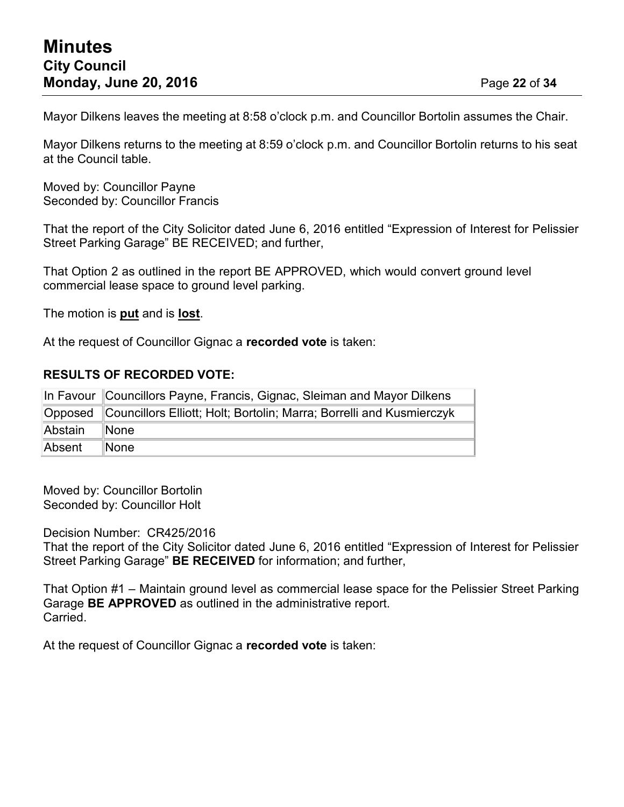Mayor Dilkens leaves the meeting at 8:58 o'clock p.m. and Councillor Bortolin assumes the Chair.

Mayor Dilkens returns to the meeting at 8:59 o'clock p.m. and Councillor Bortolin returns to his seat at the Council table.

Moved by: Councillor Payne Seconded by: Councillor Francis

That the report of the City Solicitor dated June 6, 2016 entitled "Expression of Interest for Pelissier Street Parking Garage" BE RECEIVED; and further,

That Option 2 as outlined in the report BE APPROVED, which would convert ground level commercial lease space to ground level parking.

The motion is **put** and is **lost**.

At the request of Councillor Gignac a **recorded vote** is taken:

## **RESULTS OF RECORDED VOTE:**

|         | In Favour Councillors Payne, Francis, Gignac, Sleiman and Mayor Dilkens      |  |  |
|---------|------------------------------------------------------------------------------|--|--|
|         | Opposed Councillors Elliott; Holt; Bortolin; Marra; Borrelli and Kusmierczyk |  |  |
| Abstain | $\blacksquare$ None                                                          |  |  |
| Absent  | $\blacksquare$ None                                                          |  |  |

Moved by: Councillor Bortolin Seconded by: Councillor Holt

Decision Number: CR425/2016

That the report of the City Solicitor dated June 6, 2016 entitled "Expression of Interest for Pelissier Street Parking Garage" **BE RECEIVED** for information; and further,

That Option #1 – Maintain ground level as commercial lease space for the Pelissier Street Parking Garage **BE APPROVED** as outlined in the administrative report. Carried.

At the request of Councillor Gignac a **recorded vote** is taken: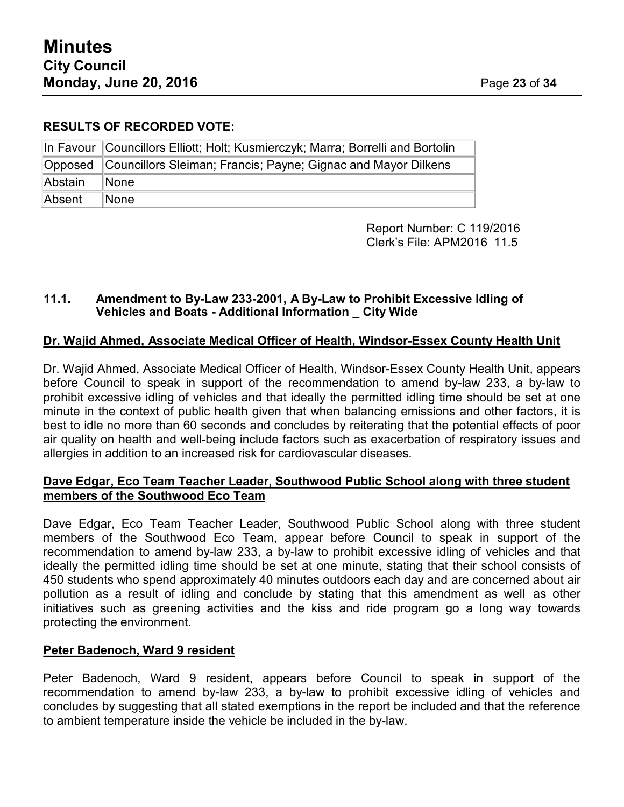## **RESULTS OF RECORDED VOTE:**

|         | In Favour Councillors Elliott; Holt; Kusmierczyk; Marra; Borrelli and Bortolin |
|---------|--------------------------------------------------------------------------------|
|         | Opposed Councillors Sleiman; Francis; Payne; Gignac and Mayor Dilkens          |
| Abstain | ∥None                                                                          |
| Absent  | $\blacksquare$ None                                                            |

Report Number: C 119/2016 Clerk's File: APM2016 11.5

## **11.1. Amendment to By-Law 233-2001, A By-Law to Prohibit Excessive Idling of Vehicles and Boats - Additional Information \_ City Wide**

# **Dr. Wajid Ahmed, Associate Medical Officer of Health, Windsor-Essex County Health Unit**

Dr. Wajid Ahmed, Associate Medical Officer of Health, Windsor-Essex County Health Unit, appears before Council to speak in support of the recommendation to amend by-law 233, a by-law to prohibit excessive idling of vehicles and that ideally the permitted idling time should be set at one minute in the context of public health given that when balancing emissions and other factors, it is best to idle no more than 60 seconds and concludes by reiterating that the potential effects of poor air quality on health and well-being include factors such as exacerbation of respiratory issues and allergies in addition to an increased risk for cardiovascular diseases.

## **Dave Edgar, Eco Team Teacher Leader, Southwood Public School along with three student members of the Southwood Eco Team**

Dave Edgar, Eco Team Teacher Leader, Southwood Public School along with three student members of the Southwood Eco Team, appear before Council to speak in support of the recommendation to amend by-law 233, a by-law to prohibit excessive idling of vehicles and that ideally the permitted idling time should be set at one minute, stating that their school consists of 450 students who spend approximately 40 minutes outdoors each day and are concerned about air pollution as a result of idling and conclude by stating that this amendment as well as other initiatives such as greening activities and the kiss and ride program go a long way towards protecting the environment.

## **Peter Badenoch, Ward 9 resident**

Peter Badenoch, Ward 9 resident, appears before Council to speak in support of the recommendation to amend by-law 233, a by-law to prohibit excessive idling of vehicles and concludes by suggesting that all stated exemptions in the report be included and that the reference to ambient temperature inside the vehicle be included in the by-law.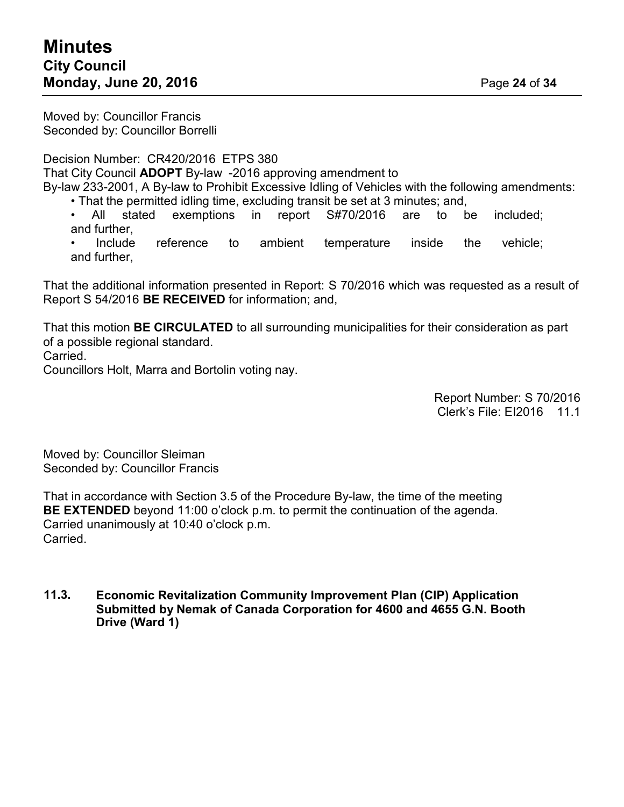Moved by: Councillor Francis Seconded by: Councillor Borrelli

Decision Number: CR420/2016 ETPS 380 That City Council **ADOPT** By-law -2016 approving amendment to By-law 233-2001, A By-law to Prohibit Excessive Idling of Vehicles with the following amendments:

• That the permitted idling time, excluding transit be set at 3 minutes; and,

All stated exemptions in report S#70/2016 are to be included; and further,

Include reference to ambient temperature inside the vehicle; and further,

That the additional information presented in Report: S 70/2016 which was requested as a result of Report S 54/2016 **BE RECEIVED** for information; and,

That this motion **BE CIRCULATED** to all surrounding municipalities for their consideration as part of a possible regional standard.

Carried.

Councillors Holt, Marra and Bortolin voting nay.

Report Number: S 70/2016 Clerk's File: EI2016 11.1

Moved by: Councillor Sleiman Seconded by: Councillor Francis

That in accordance with Section 3.5 of the Procedure By-law, the time of the meeting **BE EXTENDED** beyond 11:00 o'clock p.m. to permit the continuation of the agenda. Carried unanimously at 10:40 o'clock p.m. Carried.

**11.3. Economic Revitalization Community Improvement Plan (CIP) Application Submitted by Nemak of Canada Corporation for 4600 and 4655 G.N. Booth Drive (Ward 1)**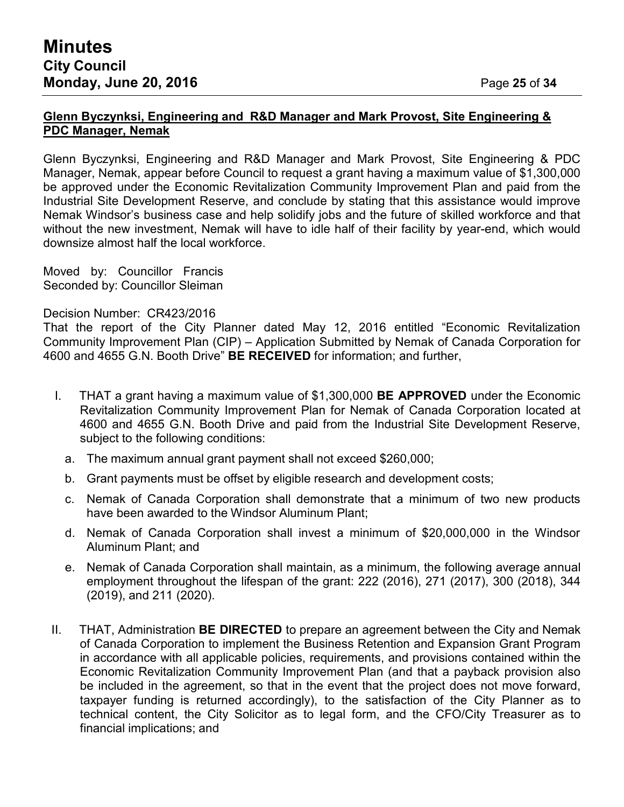## **Glenn Byczynksi, Engineering and R&D Manager and Mark Provost, Site Engineering & PDC Manager, Nemak**

Glenn Byczynksi, Engineering and R&D Manager and Mark Provost, Site Engineering & PDC Manager, Nemak, appear before Council to request a grant having a maximum value of \$1,300,000 be approved under the Economic Revitalization Community Improvement Plan and paid from the Industrial Site Development Reserve, and conclude by stating that this assistance would improve Nemak Windsor's business case and help solidify jobs and the future of skilled workforce and that without the new investment, Nemak will have to idle half of their facility by year-end, which would downsize almost half the local workforce.

Moved by: Councillor Francis Seconded by: Councillor Sleiman

Decision Number: CR423/2016

That the report of the City Planner dated May 12, 2016 entitled "Economic Revitalization Community Improvement Plan (CIP) – Application Submitted by Nemak of Canada Corporation for 4600 and 4655 G.N. Booth Drive" **BE RECEIVED** for information; and further,

- I. THAT a grant having a maximum value of \$1,300,000 **BE APPROVED** under the Economic Revitalization Community Improvement Plan for Nemak of Canada Corporation located at 4600 and 4655 G.N. Booth Drive and paid from the Industrial Site Development Reserve, subject to the following conditions:
	- a. The maximum annual grant payment shall not exceed \$260,000;
	- b. Grant payments must be offset by eligible research and development costs;
	- c. Nemak of Canada Corporation shall demonstrate that a minimum of two new products have been awarded to the Windsor Aluminum Plant;
	- d. Nemak of Canada Corporation shall invest a minimum of \$20,000,000 in the Windsor Aluminum Plant; and
	- e. Nemak of Canada Corporation shall maintain, as a minimum, the following average annual employment throughout the lifespan of the grant: 222 (2016), 271 (2017), 300 (2018), 344 (2019), and 211 (2020).
- II. THAT, Administration **BE DIRECTED** to prepare an agreement between the City and Nemak of Canada Corporation to implement the Business Retention and Expansion Grant Program in accordance with all applicable policies, requirements, and provisions contained within the Economic Revitalization Community Improvement Plan (and that a payback provision also be included in the agreement, so that in the event that the project does not move forward, taxpayer funding is returned accordingly), to the satisfaction of the City Planner as to technical content, the City Solicitor as to legal form, and the CFO/City Treasurer as to financial implications; and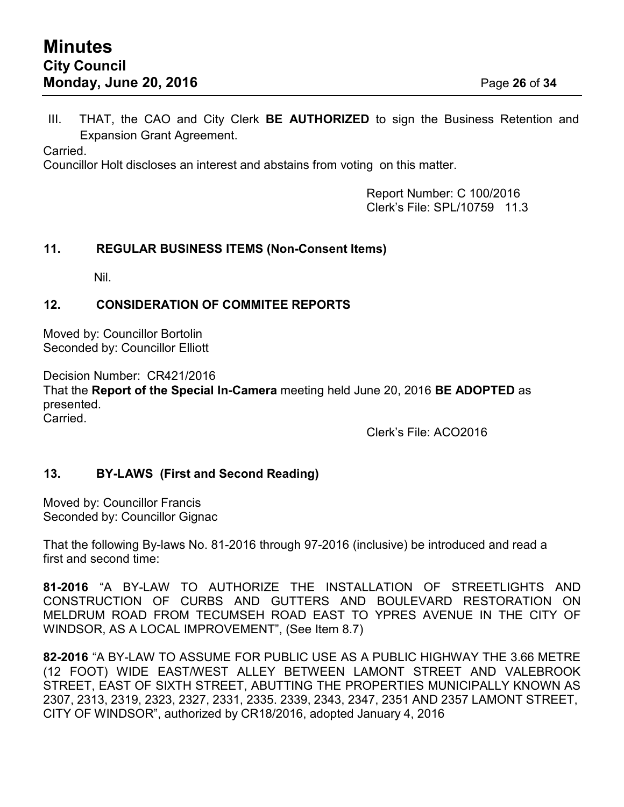III. THAT, the CAO and City Clerk **BE AUTHORIZED** to sign the Business Retention and Expansion Grant Agreement.

Carried.

Councillor Holt discloses an interest and abstains from voting on this matter.

Report Number: C 100/2016 Clerk's File: SPL/10759 11.3

## **11. REGULAR BUSINESS ITEMS (Non-Consent Items)**

Nil.

## **12. CONSIDERATION OF COMMITEE REPORTS**

Moved by: Councillor Bortolin Seconded by: Councillor Elliott

Decision Number: CR421/2016 That the **Report of the Special In-Camera** meeting held June 20, 2016 **BE ADOPTED** as presented. Carried.

Clerk's File: ACO2016

# **13. BY-LAWS (First and Second Reading)**

Moved by: Councillor Francis Seconded by: Councillor Gignac

That the following By-laws No. 81-2016 through 97-2016 (inclusive) be introduced and read a first and second time:

**81-2016** "A BY-LAW TO AUTHORIZE THE INSTALLATION OF STREETLIGHTS AND CONSTRUCTION OF CURBS AND GUTTERS AND BOULEVARD RESTORATION ON MELDRUM ROAD FROM TECUMSEH ROAD EAST TO YPRES AVENUE IN THE CITY OF WINDSOR, AS A LOCAL IMPROVEMENT", (See Item 8.7)

**82-2016** "A BY-LAW TO ASSUME FOR PUBLIC USE AS A PUBLIC HIGHWAY THE 3.66 METRE (12 FOOT) WIDE EAST/WEST ALLEY BETWEEN LAMONT STREET AND VALEBROOK STREET, EAST OF SIXTH STREET, ABUTTING THE PROPERTIES MUNICIPALLY KNOWN AS 2307, 2313, 2319, 2323, 2327, 2331, 2335. 2339, 2343, 2347, 2351 AND 2357 LAMONT STREET, CITY OF WINDSOR", authorized by CR18/2016, adopted January 4, 2016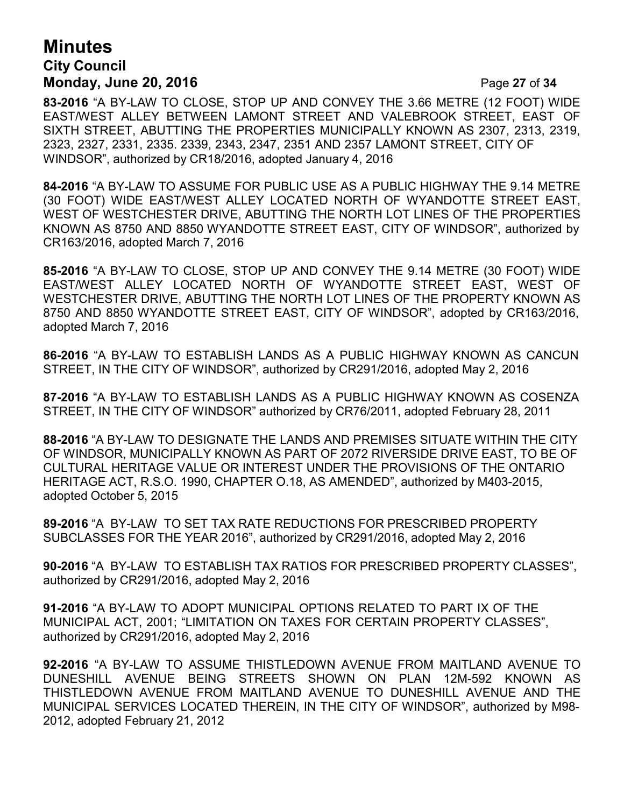# **Minutes City Council Monday, June 20, 2016** Page **27** of **34**

**83-2016** "A BY-LAW TO CLOSE, STOP UP AND CONVEY THE 3.66 METRE (12 FOOT) WIDE EAST/WEST ALLEY BETWEEN LAMONT STREET AND VALEBROOK STREET, EAST OF SIXTH STREET, ABUTTING THE PROPERTIES MUNICIPALLY KNOWN AS 2307, 2313, 2319, 2323, 2327, 2331, 2335. 2339, 2343, 2347, 2351 AND 2357 LAMONT STREET, CITY OF WINDSOR", authorized by CR18/2016, adopted January 4, 2016

**84-2016** "A BY-LAW TO ASSUME FOR PUBLIC USE AS A PUBLIC HIGHWAY THE 9.14 METRE (30 FOOT) WIDE EAST/WEST ALLEY LOCATED NORTH OF WYANDOTTE STREET EAST, WEST OF WESTCHESTER DRIVE, ABUTTING THE NORTH LOT LINES OF THE PROPERTIES KNOWN AS 8750 AND 8850 WYANDOTTE STREET EAST, CITY OF WINDSOR", authorized by CR163/2016, adopted March 7, 2016

**85-2016** "A BY-LAW TO CLOSE, STOP UP AND CONVEY THE 9.14 METRE (30 FOOT) WIDE EAST/WEST ALLEY LOCATED NORTH OF WYANDOTTE STREET EAST, WEST OF WESTCHESTER DRIVE, ABUTTING THE NORTH LOT LINES OF THE PROPERTY KNOWN AS 8750 AND 8850 WYANDOTTE STREET EAST, CITY OF WINDSOR", adopted by CR163/2016, adopted March 7, 2016

**86-2016** "A BY-LAW TO ESTABLISH LANDS AS A PUBLIC HIGHWAY KNOWN AS CANCUN STREET, IN THE CITY OF WINDSOR", authorized by CR291/2016, adopted May 2, 2016

**87-2016** "A BY-LAW TO ESTABLISH LANDS AS A PUBLIC HIGHWAY KNOWN AS COSENZA STREET, IN THE CITY OF WINDSOR" authorized by CR76/2011, adopted February 28, 2011

**88-2016** "A BY-LAW TO DESIGNATE THE LANDS AND PREMISES SITUATE WITHIN THE CITY OF WINDSOR, MUNICIPALLY KNOWN AS PART OF 2072 RIVERSIDE DRIVE EAST, TO BE OF CULTURAL HERITAGE VALUE OR INTEREST UNDER THE PROVISIONS OF THE ONTARIO HERITAGE ACT, R.S.O. 1990, CHAPTER O.18, AS AMENDED", authorized by M403-2015, adopted October 5, 2015

**89-2016** "A BY-LAW TO SET TAX RATE REDUCTIONS FOR PRESCRIBED PROPERTY SUBCLASSES FOR THE YEAR 2016", authorized by CR291/2016, adopted May 2, 2016

**90-2016** "A BY-LAW TO ESTABLISH TAX RATIOS FOR PRESCRIBED PROPERTY CLASSES", authorized by CR291/2016, adopted May 2, 2016

**91-2016** "A BY-LAW TO ADOPT MUNICIPAL OPTIONS RELATED TO PART IX OF THE MUNICIPAL ACT, 2001; "LIMITATION ON TAXES FOR CERTAIN PROPERTY CLASSES", authorized by CR291/2016, adopted May 2, 2016

**92-2016** "A BY-LAW TO ASSUME THISTLEDOWN AVENUE FROM MAITLAND AVENUE TO DUNESHILL AVENUE BEING STREETS SHOWN ON PLAN 12M-592 KNOWN AS THISTLEDOWN AVENUE FROM MAITLAND AVENUE TO DUNESHILL AVENUE AND THE MUNICIPAL SERVICES LOCATED THEREIN, IN THE CITY OF WINDSOR", authorized by M98- 2012, adopted February 21, 2012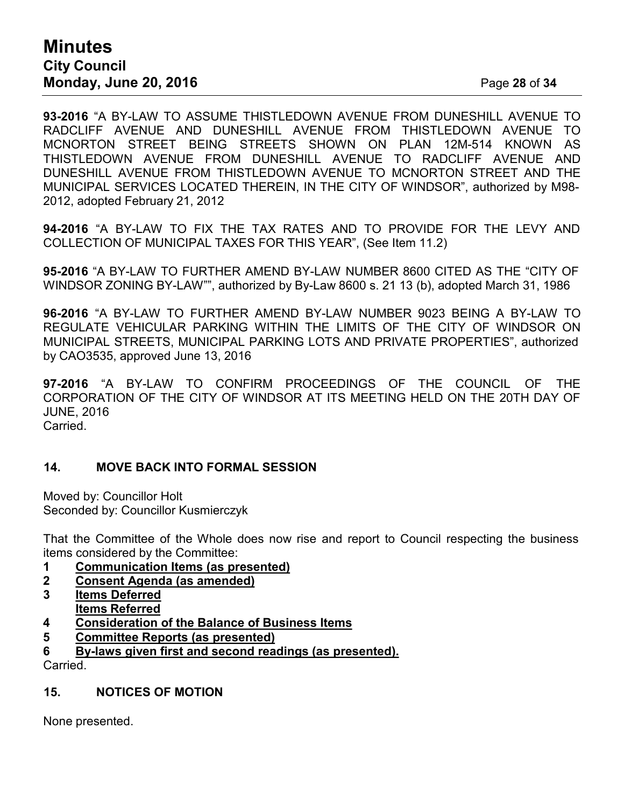# **Minutes City Council Monday, June 20, 2016** Page **28** of **34**

**93-2016** "A BY-LAW TO ASSUME THISTLEDOWN AVENUE FROM DUNESHILL AVENUE TO RADCLIFF AVENUE AND DUNESHILL AVENUE FROM THISTLEDOWN AVENUE TO MCNORTON STREET BEING STREETS SHOWN ON PLAN 12M-514 KNOWN AS THISTLEDOWN AVENUE FROM DUNESHILL AVENUE TO RADCLIFF AVENUE AND DUNESHILL AVENUE FROM THISTLEDOWN AVENUE TO MCNORTON STREET AND THE MUNICIPAL SERVICES LOCATED THEREIN, IN THE CITY OF WINDSOR", authorized by M98- 2012, adopted February 21, 2012

**94-2016** "A BY-LAW TO FIX THE TAX RATES AND TO PROVIDE FOR THE LEVY AND COLLECTION OF MUNICIPAL TAXES FOR THIS YEAR", (See Item 11.2)

**95-2016** "A BY-LAW TO FURTHER AMEND BY-LAW NUMBER 8600 CITED AS THE "CITY OF WINDSOR ZONING BY-LAW"", authorized by By-Law 8600 s. 21 13 (b), adopted March 31, 1986

**96-2016** "A BY-LAW TO FURTHER AMEND BY-LAW NUMBER 9023 BEING A BY-LAW TO REGULATE VEHICULAR PARKING WITHIN THE LIMITS OF THE CITY OF WINDSOR ON MUNICIPAL STREETS, MUNICIPAL PARKING LOTS AND PRIVATE PROPERTIES", authorized by CAO3535, approved June 13, 2016

**97-2016** "A BY-LAW TO CONFIRM PROCEEDINGS OF THE COUNCIL OF THE CORPORATION OF THE CITY OF WINDSOR AT ITS MEETING HELD ON THE 20TH DAY OF JUNE, 2016 Carried.

## **14. MOVE BACK INTO FORMAL SESSION**

Moved by: Councillor Holt Seconded by: Councillor Kusmierczyk

That the Committee of the Whole does now rise and report to Council respecting the business items considered by the Committee:

- **1 Communication Items (as presented)**
- **2 Consent Agenda (as amended)**
- **3 Items Deferred Items Referred**
- **4 Consideration of the Balance of Business Items**
- **5 Committee Reports (as presented)**
- **6 By-laws given first and second readings (as presented).**

Carried.

# **15. NOTICES OF MOTION**

None presented.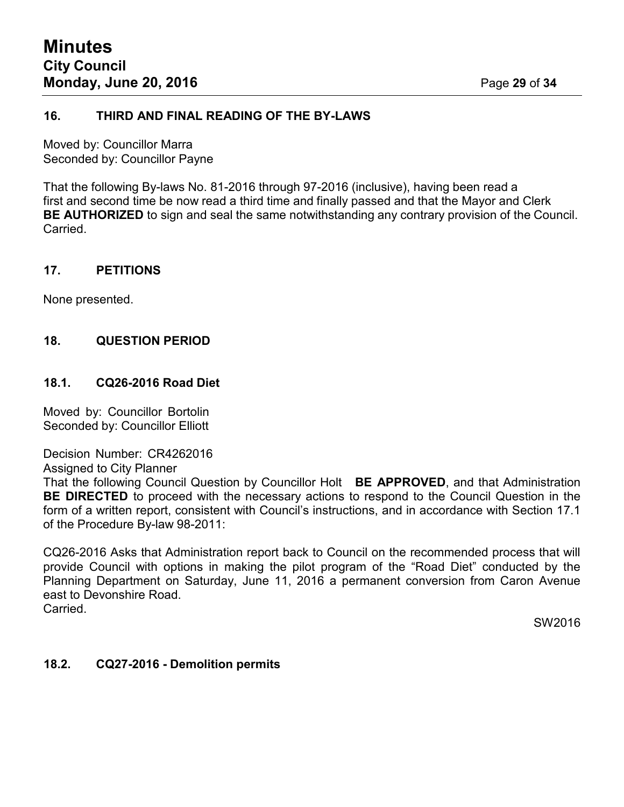#### **16. THIRD AND FINAL READING OF THE BY-LAWS**

Moved by: Councillor Marra Seconded by: Councillor Payne

That the following By-laws No. 81-2016 through 97-2016 (inclusive), having been read a first and second time be now read a third time and finally passed and that the Mayor and Clerk **BE AUTHORIZED** to sign and seal the same notwithstanding any contrary provision of the Council. **Carried** 

#### **17. PETITIONS**

None presented.

## **18. QUESTION PERIOD**

#### **18.1. CQ26-2016 Road Diet**

Moved by: Councillor Bortolin Seconded by: Councillor Elliott

#### Decision Number: CR4262016

Assigned to City Planner

That the following Council Question by Councillor Holt **BE APPROVED**, and that Administration **BE DIRECTED** to proceed with the necessary actions to respond to the Council Question in the form of a written report, consistent with Council's instructions, and in accordance with Section 17.1 of the Procedure By-law 98-2011:

CQ26-2016 Asks that Administration report back to Council on the recommended process that will provide Council with options in making the pilot program of the "Road Diet" conducted by the Planning Department on Saturday, June 11, 2016 a permanent conversion from Caron Avenue east to Devonshire Road. Carried.

SW2016

#### **18.2. CQ27-2016 - Demolition permits**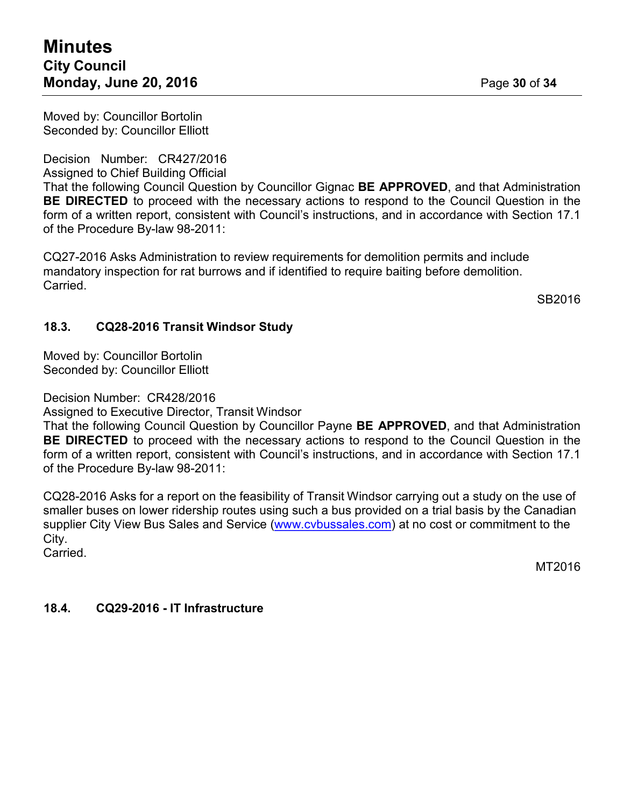Moved by: Councillor Bortolin Seconded by: Councillor Elliott

Decision Number: CR427/2016

Assigned to Chief Building Official

That the following Council Question by Councillor Gignac **BE APPROVED**, and that Administration **BE DIRECTED** to proceed with the necessary actions to respond to the Council Question in the form of a written report, consistent with Council's instructions, and in accordance with Section 17.1 of the Procedure By-law 98-2011:

CQ27-2016 Asks Administration to review requirements for demolition permits and include mandatory inspection for rat burrows and if identified to require baiting before demolition. Carried.

SB2016

# **18.3. CQ28-2016 Transit Windsor Study**

Moved by: Councillor Bortolin Seconded by: Councillor Elliott

Decision Number: CR428/2016

Assigned to Executive Director, Transit Windsor

That the following Council Question by Councillor Payne **BE APPROVED**, and that Administration **BE DIRECTED** to proceed with the necessary actions to respond to the Council Question in the form of a written report, consistent with Council's instructions, and in accordance with Section 17.1 of the Procedure By-law 98-2011:

CQ28-2016 Asks for a report on the feasibility of Transit Windsor carrying out a study on the use of smaller buses on lower ridership routes using such a bus provided on a trial basis by the Canadian supplier City View Bus Sales and Service [\(www.cvbussales.com\)](http://www.cvbussales.com/) at no cost or commitment to the City.

Carried.

MT2016

# **18.4. CQ29-2016 - IT Infrastructure**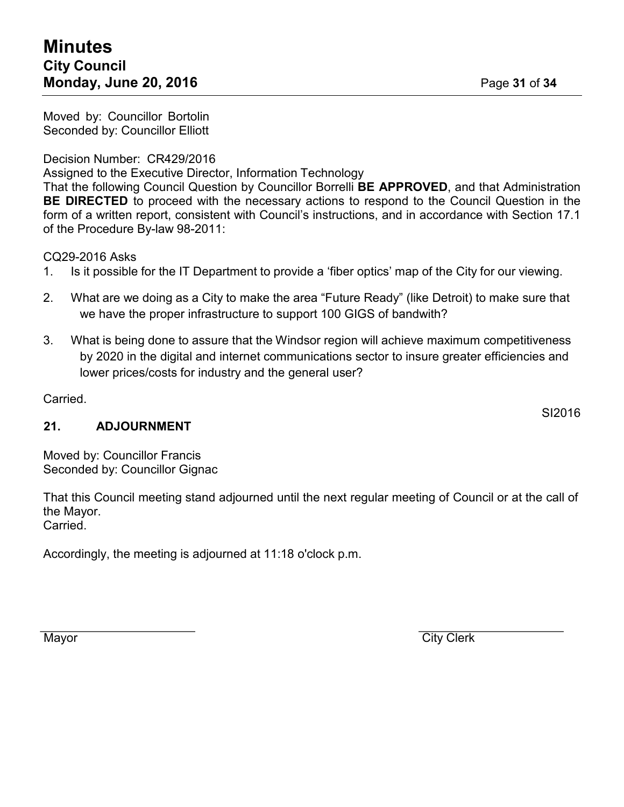Moved by: Councillor Bortolin Seconded by: Councillor Elliott

Decision Number: CR429/2016

Assigned to the Executive Director, Information Technology

That the following Council Question by Councillor Borrelli **BE APPROVED**, and that Administration **BE DIRECTED** to proceed with the necessary actions to respond to the Council Question in the form of a written report, consistent with Council's instructions, and in accordance with Section 17.1 of the Procedure By-law 98-2011:

CQ29-2016 Asks

- 1. Is it possible for the IT Department to provide a 'fiber optics' map of the City for our viewing.
- 2. What are we doing as a City to make the area "Future Ready" (like Detroit) to make sure that we have the proper infrastructure to support 100 GIGS of bandwith?
- 3. What is being done to assure that the Windsor region will achieve maximum competitiveness by 2020 in the digital and internet communications sector to insure greater efficiencies and lower prices/costs for industry and the general user?

Carried.

# **21. ADJOURNMENT**

Moved by: Councillor Francis Seconded by: Councillor Gignac

That this Council meeting stand adjourned until the next regular meeting of Council or at the call of the Mayor. Carried.

Accordingly, the meeting is adjourned at 11:18 o'clock p.m.

Mayor **City Clerk** 

SI2016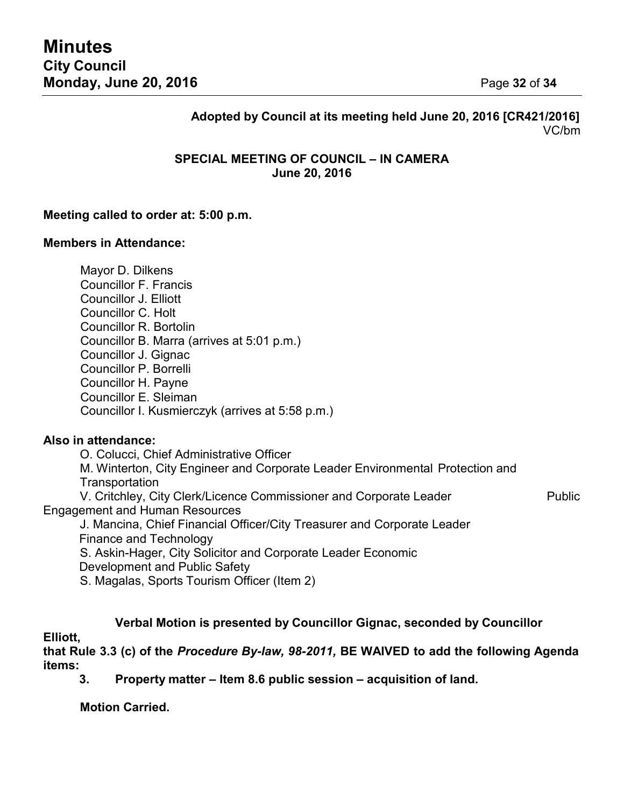# **Adopted by Council at its meeting held June 20, 2016 [CR421/2016]** VC/bm

## **SPECIAL MEETING OF COUNCIL – IN CAMERA June 20, 2016**

#### **Meeting called to order at: 5:00 p.m.**

#### **Members in Attendance:**

Mayor D. Dilkens Councillor F. Francis Councillor J. Elliott Councillor C. Holt Councillor R. Bortolin Councillor B. Marra (arrives at 5:01 p.m.) Councillor J. Gignac Councillor P. Borrelli Councillor H. Payne Councillor E. Sleiman Councillor I. Kusmierczyk (arrives at 5:58 p.m.)

#### **Also in attendance:**

O. Colucci, Chief Administrative Officer M. Winterton, City Engineer and Corporate Leader Environmental Protection and **Transportation** V. Critchley, City Clerk/Licence Commissioner and Corporate Leader Public Engagement and Human Resources

J. Mancina, Chief Financial Officer/City Treasurer and Corporate Leader Finance and Technology S. Askin-Hager, City Solicitor and Corporate Leader Economic

Development and Public Safety

S. Magalas, Sports Tourism Officer (Item 2)

**Verbal Motion is presented by Councillor Gignac, seconded by Councillor**

#### **Elliott,**

**that Rule 3.3 (c) of the** *Procedure By-law, 98-2011,* **BE WAIVED to add the following Agenda items:**

**3. Property matter – Item 8.6 public session – acquisition of land.**

**Motion Carried.**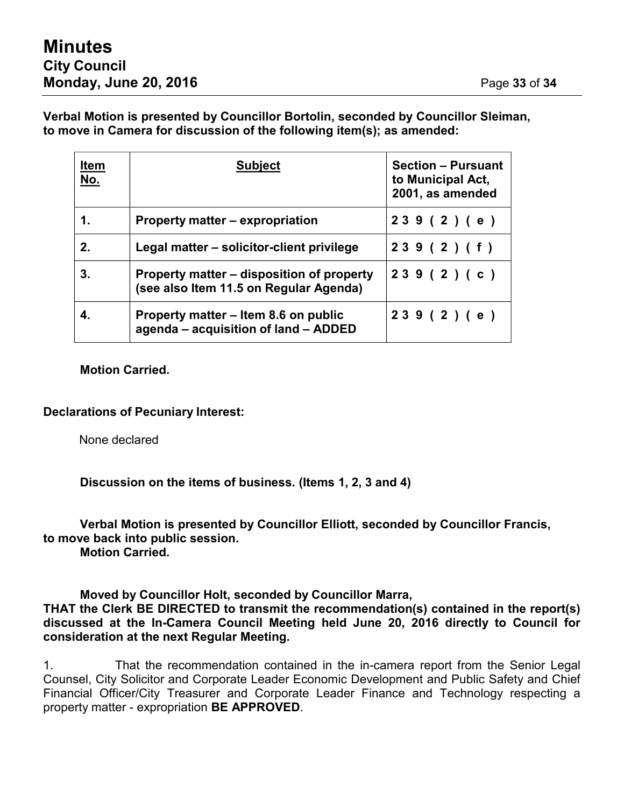**Verbal Motion is presented by Councillor Bortolin, seconded by Councillor Sleiman, to move in Camera for discussion of the following item(s); as amended:**

| <u>Item</u><br><u>No.</u> | <b>Subject</b>                                                                      | <b>Section - Pursuant</b><br>to Municipal Act,<br>2001, as amended |
|---------------------------|-------------------------------------------------------------------------------------|--------------------------------------------------------------------|
| $\mathbf 1$ .             | Property matter – expropriation                                                     | 239(2)(e)                                                          |
| 2.                        | Legal matter – solicitor-client privilege                                           | 239(2)(f)                                                          |
| 3.                        | Property matter – disposition of property<br>(see also Item 11.5 on Regular Agenda) | 239(2)(c)                                                          |
|                           | Property matter – Item 8.6 on public<br>agenda – acquisition of land – ADDED        | 239(2)(e)                                                          |

**Motion Carried.**

## **Declarations of Pecuniary Interest:**

None declared

**Discussion on the items of business. (Items 1, 2, 3 and 4)**

**Verbal Motion is presented by Councillor Elliott, seconded by Councillor Francis, to move back into public session.**

**Motion Carried.**

**Moved by Councillor Holt, seconded by Councillor Marra, THAT the Clerk BE DIRECTED to transmit the recommendation(s) contained in the report(s) discussed at the In-Camera Council Meeting held June 20, 2016 directly to Council for consideration at the next Regular Meeting.**

1. That the recommendation contained in the in-camera report from the Senior Legal Counsel, City Solicitor and Corporate Leader Economic Development and Public Safety and Chief Financial Officer/City Treasurer and Corporate Leader Finance and Technology respecting a property matter - expropriation **BE APPROVED**.